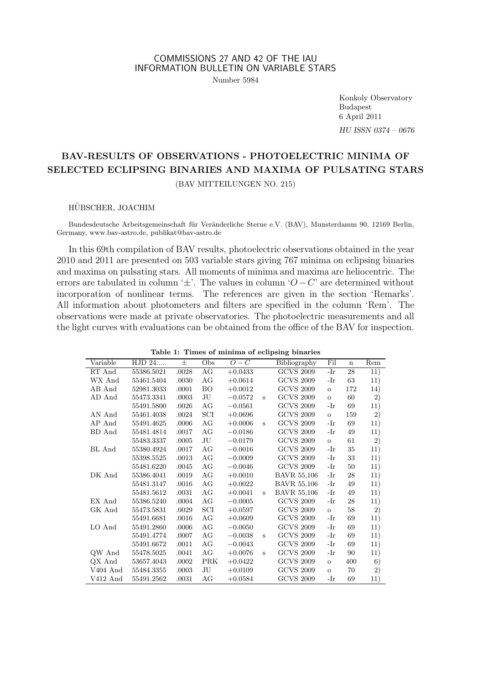## COMMISSIONS 27 AND 42 OF THE IAU INFORMATION BULLETIN ON VARIABLE STARS

Number 5984

Konkoly Observatory Budapest 6 April 2011 HU ISSN 0374 – 0676

# BAV-RESULTS OF OBSERVATIONS - PHOTOELECTRIC MINIMA OF SELECTED ECLIPSING BINARIES AND MAXIMA OF PULSATING STARS

(BAV MITTEILUNGEN NO. 215)

#### HUBSCHER, JOACHIM ¨

Bundesdeutsche Arbeitsgemeinschaft für Veränderliche Sterne e.V. (BAV), Munsterdamm 90, 12169 Berlin, Germany, www.bav-astro.de, publikat@bav-astro.de

In this 69th compilation of BAV results, photoelectric observations obtained in the year 2010 and 2011 are presented on 503 variable stars giving 767 minima on eclipsing binaries and maxima on pulsating stars. All moments of minima and maxima are heliocentric. The errors are tabulated in column ' $\pm$ '. The values in column ' $O - C$ ' are determined without incorporation of nonlinear terms. The references are given in the section 'Remarks'. All information about photometers and filters are specified in the column 'Rem'. The observations were made at private observatories. The photoelectric measurements and all the light curves with evaluations can be obtained from the office of the BAV for inspection.

|            |            |       |            |           |   | rable 1. Thries of imminity of ecupsing binaries |         |             |     |
|------------|------------|-------|------------|-----------|---|--------------------------------------------------|---------|-------------|-----|
| Variable   | HJD 24     | 士     | Obs        | $O-C$     |   | Bibliography                                     | Fil     | $\mathbf n$ | Rem |
| RT And     | 55386.5021 | .0028 | AG         | $+0.0433$ |   | $\overline{GCVS}$ 2009                           | -Ir     | 28          | 11) |
| WX And     | 55461.5404 | .0030 | AG         | $+0.0614$ |   | <b>GCVS 2009</b>                                 | -Ir     | 63          | 11) |
| AB And     | 52981.3033 | .0001 | BO         | $+0.0012$ |   | <b>GCVS 2009</b>                                 | $\circ$ | 172         | 14) |
| AD And     | 55473.3341 | .0003 | JU         | $-0.0572$ | s | $\rm GCVS$ $2009$                                | $\circ$ | 60          | 2)  |
|            | 55491.5800 | .0026 | AG         | $-0.0561$ |   | <b>GCVS 2009</b>                                 | -Ir     | 69          | 11) |
| AN And     | 55461.4038 | .0024 | SCI        | $+0.0696$ |   | <b>GCVS 2009</b>                                 | $\circ$ | 159         | 2)  |
| AP And     | 55491.4625 | .0006 | AG         | $+0.0006$ | Ś | <b>GCVS 2009</b>                                 | -Ir     | 69          | 11) |
| BD And     | 55481.4814 | .0017 | AG         | $-0.0186$ |   | <b>GCVS 2009</b>                                 | -Ir     | 49          | 11) |
|            | 55483.3337 | .0005 | JU         | $-0.0179$ |   | <b>GCVS 2009</b>                                 | $\circ$ | 61          | 2)  |
| BL And     | 55380.4924 | .0017 | AG         | $-0.0016$ |   | <b>GCVS 2009</b>                                 | -Ir     | 35          | 11) |
|            | 55398.5525 | .0013 | AG         | $-0.0009$ |   | <b>GCVS 2009</b>                                 | -Ir     | 33          | 11) |
|            | 55481.6220 | .0045 | AG         | $-0.0046$ |   | <b>GCVS 2009</b>                                 | -Ir     | 50          | 11) |
| DK And     | 55386.4041 | .0019 | AG         | $+0.0010$ |   | <b>BAVR 55,106</b>                               | -Ir     | 28          | 11) |
|            | 55481.3147 | .0016 | AG         | $+0.0022$ |   | <b>BAVR 55,106</b>                               | -Ir     | 49          | 11) |
|            | 55481.5612 | .0031 | AG         | $+0.0041$ | s | <b>BAVR 55,106</b>                               | -Ir     | 49          | 11) |
| EX And     | 55386.5240 | .0004 | AG         | $-0.0005$ |   | <b>GCVS 2009</b>                                 | -Ir     | 28          | 11) |
| GK And     | 55473.5831 | .0029 | SCI        | $+0.0597$ |   | <b>GCVS 2009</b>                                 | $\circ$ | 58          | 2)  |
|            | 55491.6681 | .0016 | AG         | $+0.0609$ |   | <b>GCVS 2009</b>                                 | -Ir     | 69          | 11) |
| LO And     | 55491.2860 | .0006 | AG         | $-0.0050$ |   | <b>GCVS 2009</b>                                 | -Ir     | 69          | 11) |
|            | 55491.4774 | .0007 | AG         | $-0.0038$ | s | <b>GCVS 2009</b>                                 | -Ir     | 69          | 11) |
|            | 55491.6672 | .0011 | AG         | $-0.0043$ |   | <b>GCVS 2009</b>                                 | -Ir     | 69          | 11) |
| OW And     | 55478.5025 | .0041 | AG         | $+0.0076$ | Ś | <b>GCVS 2009</b>                                 | -Ir     | 90          | 11) |
| QX And     | 53657.4043 | .0002 | <b>PRK</b> | $+0.0422$ |   | <b>GCVS 2009</b>                                 | $\circ$ | 400         | 6)  |
| $V404$ And | 55484.3355 | .0003 | JU         | $+0.0109$ |   | <b>GCVS 2009</b>                                 | $\circ$ | 70          | 2)  |
| $V412$ And | 55491.2562 | .0031 | AG         | $+0.0584$ |   | <b>GCVS 2009</b>                                 | -Ir     | 69          | 11) |

Table 1: Times of minima of eclipsing binaries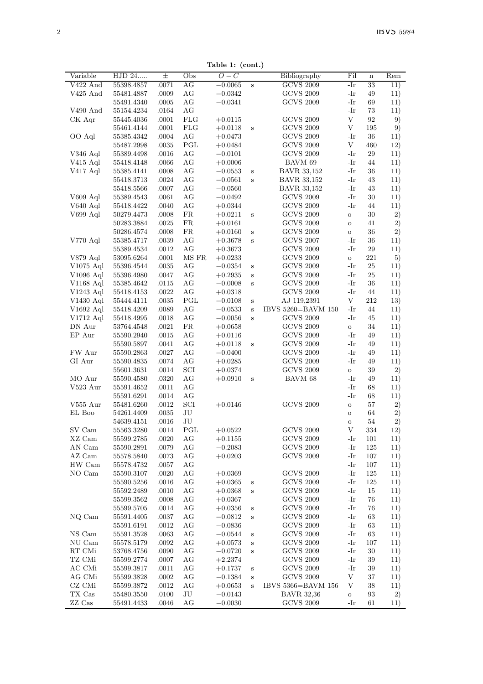Table 1: (cont.)

|             |            |       |            | Table 1: (cont.) |              |                    |              |             |                  |
|-------------|------------|-------|------------|------------------|--------------|--------------------|--------------|-------------|------------------|
| Variable    | HJD 24     | 士     | Obs        | $\overline{O}-C$ |              | Bibliography       | Fil          | $\mathbf n$ | Rem              |
| V422 And    | 55398.4857 | .0071 | AG         | $-0.0065$        | $\,$ s       | <b>GCVS 2009</b>   | -Ir          | 33          | $\overline{1}1)$ |
| V425 And    | 55481.4887 | .0009 | AG         | $-0.0342$        |              | <b>GCVS 2009</b>   | -Ir          | 49          | 11)              |
|             | 55491.4340 | .0005 | AG         | $-0.0341$        |              | <b>GCVS 2009</b>   | -Ir          | 69          | 11)              |
| V490 And    | 55154.4234 | .0164 | AG         |                  |              |                    | -Ir          | 73          | 11)              |
| CK Aqr      | 55445.4036 | .0001 | <b>FLG</b> | $+0.0115$        |              | <b>GCVS 2009</b>   | V            | 92          | 9)               |
|             | 55461.4144 | .0001 | <b>FLG</b> | $+0.0118$        | s            | <b>GCVS 2009</b>   | V            | 195         | 9)               |
| OO Aql      |            |       | AG         |                  |              | <b>GCVS 2009</b>   | -Ir          | 36          |                  |
|             | 55385.4342 | .0004 |            | $+0.0473$        |              |                    |              |             | 11)              |
|             | 55487.2998 | .0035 | PGL        | $+0.0484$        |              | <b>GCVS 2009</b>   | V            | 460         | 12)              |
| V346 Aql    | 55389.4498 | .0016 | AG         | $-0.0101$        |              | <b>GCVS 2009</b>   | -Ir          | 29          | 11)              |
| $V415$ Aql  | 55418.4148 | .0066 | AG         | $+0.0006$        |              | BAVM 69            | -Ir          | 44          | 11)              |
| V417 Aql    | 55385.4141 | .0008 | AG         | $-0.0553$        | $\rm s$      | <b>BAVR 33,152</b> | -Ir          | 36          | 11)              |
|             | 55418.3713 | .0024 | AG         | $-0.0561$        | S            | <b>BAVR 33,152</b> | -Ir          | 43          | 11)              |
|             | 55418.5566 | .0007 | AG         | $-0.0560$        |              | <b>BAVR 33,152</b> | -Ir          | 43          | 11)              |
| $V609$ Aql  | 55389.4543 | .0061 | AG         | $-0.0492$        |              | <b>GCVS 2009</b>   | -Ir          | 30          | 11)              |
| V640 Aql    | 55418.4422 | .0040 | AG         | $+0.0344$        |              | <b>GCVS 2009</b>   | -Ir          | 44          | 11)              |
| V699 Aql    | 50279.4473 | .0008 | FR.        | $+0.0211$        | $\,$ s       | <b>GCVS 2009</b>   | $\mathbf{o}$ | 30          | 2)               |
|             | 50283.3884 | .0025 | ${\rm FR}$ | $+0.0161$        |              | <b>GCVS 2009</b>   | $\circ$      | 41          | 2)               |
|             | 50286.4574 | .0008 | FR.        | $+0.0160$        | S            | <b>GCVS 2009</b>   | $\mathbf{o}$ | 36          | 2)               |
|             |            |       |            |                  |              |                    | -Ir          | 36          |                  |
| V770 Aql    | 55385.4717 | .0039 | AG         | $+0.3678$        | $\rm s$      | <b>GCVS 2007</b>   |              |             | 11)              |
|             | 55389.4534 | .0012 | AG         | $+0.3673$        |              | <b>GCVS 2009</b>   | -Ir          | 29          | 11)              |
| V879 Aql    | 53095.6264 | .0001 | MS FR      | $+0.0233$        |              | <b>GCVS 2009</b>   | $\mathbf{o}$ | 221         | 5)               |
| $V1075$ Aql | 55396.4544 | .0035 | АG         | $-0.0354$        | S            | <b>GCVS 2009</b>   | -Ir          | 25          | 11)              |
| V1096 Aql   | 55396.4980 | .0047 | AG         | $+0.2935$        | s            | <b>GCVS 2009</b>   | -Ir          | 25          | 11)              |
| $V1168$ Aql | 55385.4642 | .0115 | AG         | $-0.0008$        | S            | <b>GCVS 2009</b>   | -Ir          | 36          | 11)              |
| V1243 Aql   | 55418.4153 | .0022 | AG         | $+0.0318$        |              | <b>GCVS 2009</b>   | -Ir          | 44          | 11)              |
| V1430 Aql   | 55444.4111 | .0035 | PGL        | $-0.0108$        | $\bf S$      | AJ 119,2391        | V            | 212         | 13)              |
| V1692 Aql   | 55418.4209 | .0089 | AG         | $-0.0533$        | $\rm s$      | IBVS 5260=BAVM 150 | -Ir          | 44          | 11)              |
| V1712 Aql   | 55418.4995 | .0018 | AG         | $-0.0056$        | $\,$ s       | <b>GCVS 2009</b>   | -Ir          | 45          | 11)              |
| DN Aur      | 53764.4548 | .0021 | ${\rm FR}$ | $+0.0658$        |              | <b>GCVS 2009</b>   | $\circ$      | 34          | 11)              |
| EP Aur      | 55590.2940 | .0015 | AG         | $+0.0116$        |              | <b>GCVS 2009</b>   | -Ir          | 49          | 11)              |
|             | 55590.5897 | .0041 | AG         | $+0.0118$        | $\, {\bf s}$ | <b>GCVS 2009</b>   | -Ir          | 49          | 11)              |
| FW Aur      | 55590.2863 | .0027 | AG         | $-0.0400$        |              | <b>GCVS 2009</b>   | -Ir          | 49          | 11)              |
| GI Aur      | 55590.4835 | .0074 | AG         | $+0.0285$        |              | <b>GCVS 2009</b>   | -Ir          | 49          | 11)              |
|             | 55601.3631 | .0014 | SCI        | $+0.0374$        |              | <b>GCVS 2009</b>   | $\,$ O       | 39          | 2)               |
| MO Aur      |            |       | AG         |                  |              |                    | -Ir          |             |                  |
|             | 55590.4580 | .0320 |            | $+0.0910$        | S            | BAVM 68            |              | 49          | 11)              |
| V523 Aur    | 55591.4652 | .0011 | AG         |                  |              |                    | -Ir          | 68          | 11)              |
|             | 55591.6291 | .0014 | AG         |                  |              |                    | -Ir          | 68          | 11)              |
| V555 Aur    | 55481.6260 | .0012 | SCI        | $+0.0146$        |              | <b>GCVS 2009</b>   | $\circ$      | 57          | 2)               |
| EL Boo      | 54261.4409 | .0035 | JU         |                  |              |                    | $\circ$      | 64          | 2)               |
|             | 54639.4151 | .0016 | JU         |                  |              |                    | $\Omega$     | 54          | 2)               |
| SV Cam      | 55563.3280 | .0014 | PGL        | $+0.0522$        |              | <b>GCVS 2009</b>   | V            | 334         | 12)              |
| XZ Cam      | 55599.2785 | .0020 | AG         | $+0.1155$        |              | <b>GCVS 2009</b>   | -Ir          | 101         | 11)              |
| AN Cam      | 55590.2891 | .0079 | AG         | $-0.2083$        |              | <b>GCVS 2009</b>   | -Ir          | 125         | 11)              |
| AZ Cam      | 55578.5840 | .0073 | AG         | $+0.0203$        |              | <b>GCVS 2009</b>   | -Ir          | 107         | 11)              |
| HW Cam      | 55578.4732 | .0057 | AG         |                  |              |                    | -Ir          | 107         | 11)              |
| NO Cam      | 55590.3107 | .0020 | AG         | $+0.0369$        |              | <b>GCVS 2009</b>   | -Ir          | 125         | 11)              |
|             | 55590.5256 | .0016 | AG         | $+0.0365$        | S            | <b>GCVS 2009</b>   | -Ir          | 125         | 11)              |
|             | 55592.2489 | .0010 | AG         | $+0.0368$        | s            | <b>GCVS 2009</b>   | -Ir          | 15          | 11)              |
|             | 55599.3562 | .0008 | AG         | $+0.0367$        |              | <b>GCVS 2009</b>   | -Ir          | 76          | 11)              |
|             |            |       |            |                  |              |                    | -Ir          | 76          |                  |
|             | 55599.5705 | .0014 | AG         | $+0.0356$        | S            | <b>GCVS 2009</b>   |              |             | 11)              |
| NQ Cam      | 55591.4405 | .0037 | AG         | $-0.0812$        | s            | <b>GCVS 2009</b>   | -Ir          | 63          | 11)              |
|             | 55591.6191 | .0012 | AG         | $-0.0836$        |              | <b>GCVS 2009</b>   | -Ir          | 63          | 11)              |
| NS Cam      | 55591.3528 | .0063 | AG         | $-0.0544$        | $\rm s$      | <b>GCVS 2009</b>   | -Ir          | 63          | 11)              |
| NU Cam      | 55578.5179 | .0092 | AG         | $+0.0573$        | S            | <b>GCVS 2009</b>   | -Ir          | 107         | 11)              |
| RT CMi      | 53768.4756 | .0090 | AG         | $-0.0720$        | S            | <b>GCVS 2009</b>   | -Ir          | 30          | 11)              |
| TZ CMi      | 55599.2774 | .0007 | AG         | $+2.2374$        |              | <b>GCVS 2009</b>   | -Ir          | 39          | 11)              |
| AC CMi      | 55599.3817 | .0011 | AG         | $+0.1737$        | s            | <b>GCVS 2009</b>   | -Ir          | 39          | 11)              |
| AG CMi      | 55599.3828 | .0002 | AG         | $-0.1384$        | $\,$ s       | <b>GCVS 2009</b>   | V            | 37          | 11)              |
| CZ CMi      | 55599.3872 | .0012 | АG         | $+0.0653$        | $\bf s$      | IBVS 5366=BAVM 156 | V            | 38          | 11)              |
| TX Cas      | 55480.3550 | .0100 | JU         | $-0.0143$        |              | <b>BAVR 32,36</b>  | $\mathbf{o}$ | 93          | 2)               |
| ZZ Cas      | 55491.4433 | .0046 | AG         | $-0.0030$        |              | <b>GCVS 2009</b>   | -Ir          | 61          | 11)              |
|             |            |       |            |                  |              |                    |              |             |                  |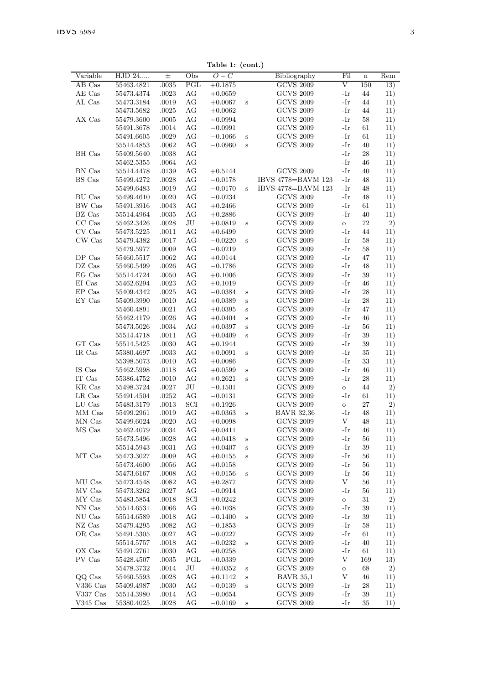| Variable   | HJD 24                   | 士              | Obs      | rapie 1.<br>$O-C$      | $($ como $)$ | Bibliography                         | Fil          | $\mathbf n$ | Rem        |
|------------|--------------------------|----------------|----------|------------------------|--------------|--------------------------------------|--------------|-------------|------------|
| AB Cas     | 55463.4821               | .0035          | PGL      | $+0.1875$              |              | <b>GCVS 2009</b>                     | V            | 150         | 13)        |
| AE Cas     | 55473.4374               | .0023          | AG       | $+0.0659$              |              | <b>GCVS 2009</b>                     | -Ir          | 44          | 11)        |
| AL Cas     | 55473.3184               | .0019          | AG       | $+0.0067$              | S            | <b>GCVS 2009</b>                     | -Ir          | 44          | 11)        |
|            | 55473.5682               | .0025          | AG       | $+0.0062$              |              | <b>GCVS 2009</b>                     | -Ir          | 44          | 11)        |
| AX Cas     | 55479.3600               | .0005          | AG       | $-0.0994$              |              | <b>GCVS 2009</b>                     | -Ir          | 58          | 11)        |
|            | 55491.3678               | .0014          | AG       | $-0.0991$              |              | <b>GCVS 2009</b>                     | -Ir          | 61          | 11)        |
|            | 55491.6605               | .0029          | AG       | $-0.1066$              | S            | <b>GCVS 2009</b>                     | -Ir          | 61          | 11)        |
|            | 55514.4853               | .0062          | AG       | $-0.0960$              | s            | <b>GCVS 2009</b>                     | -Ir          | 40          | 11)        |
| BH Cas     | 55409.5640               | .0038          | AG       |                        |              |                                      | -Ir          | 28          | 11)        |
|            | 55462.5355               | .0064          | AG       |                        |              |                                      | -Ir          | 46          | 11)        |
| BN Cas     | 55514.4478               | .0139          | AG       | $+0.5144$              |              | <b>GCVS 2009</b>                     | -Ir          | 40          | 11)        |
| BS Cas     | 55499.4272               | .0028          | AG       | $-0.0178$              |              | IBVS 4778=BAVM 123                   | -Ir          | 48          | 11)        |
|            | 55499.6483               | .0019          | AG       | $-0.0170$              | Ś            | IBVS 4778=BAVM 123                   | -Ir          | 48          | 11)        |
| BU Cas     | 55499.4610               | .0020          | АG       | $-0.0234$              |              | <b>GCVS 2009</b>                     | -Ir          | 48          | 11)        |
| BW Cas     | 55491.3916               | .0043          | AG       | $+0.2466$              |              | <b>GCVS 2009</b>                     | $-Ir$        | 61          | 11)        |
| BZ Cas     | 55514.4964               | .0035          | AG       | $+0.2886$              |              | <b>GCVS 2009</b>                     | $-Ir$        | 40          | 11)        |
| CC Cas     | 55462.3426               | .0028          | JU       | $+0.0819$              | S            | <b>GCVS 2009</b>                     | $\,$ O       | 72          | 2)         |
| CV Cas     | 55473.5225               | .0011          | AG       | $+0.6499$              |              | <b>GCVS 2009</b>                     | -Ir          | 44          | 11)        |
| CW Cas     | 55479.4382               | .0017          | AG       | $-0.0220$              | S            | <b>GCVS 2009</b>                     | -Ir          | 58          | 11)        |
|            | 55479.5977               | .0009          | AG       | $-0.0219$              |              | <b>GCVS 2009</b>                     | -Ir          | 58          | 11)        |
| DP Cas     | 55460.5517               | .0062          | AG       | $+0.0144$              |              | <b>GCVS 2009</b>                     | -Ir          | 47          | 11)        |
| DZ Cas     | 55460.5499               | .0026          | AG       | $-0.1786$              |              | <b>GCVS 2009</b>                     | -Ir          | 48          | 11)        |
| EG Cas     | 55514.4724               | .0050          | AG       | $+0.1006$              |              | <b>GCVS 2009</b>                     | -Ir          | 39          | 11)        |
| EI Cas     | 55462.6294               | .0023          | AG       | $+0.1019$              |              | <b>GCVS 2009</b>                     | -Ir          | 46          | 11)        |
| EP Cas     | 55409.4342               | .0025          | AG       | $-0.0384$              | S            | <b>GCVS 2009</b>                     | -Ir          | 28          | 11)        |
| EY Cas     | 55409.3990               | .0010          | AG       | $+0.0389$              | Š            | <b>GCVS 2009</b>                     | -Ir          | 28          | 11)        |
|            | 55460.4891               | .0021          | АG       | $+0.0395$              | S            | <b>GCVS 2009</b>                     | -Ir          | 47          | 11)        |
|            | 55462.4179               | .0026          | AG       | $+0.0404$              | S            | <b>GCVS 2009</b>                     | -Ir          | 46          | 11)        |
|            | 55473.5026               | .0034          | AG       | $+0.0397$              | S            | <b>GCVS 2009</b>                     | -Ir          | 56          | 11)        |
|            | 55514.4718               | .0011          | AG       | $+0.0409$              | S            | <b>GCVS 2009</b>                     | -Ir          | 39          | 11)        |
| GT Cas     | 55514.5425               | .0030          | AG       | $+0.1944$              |              | <b>GCVS 2009</b>                     | -Ir          | 39          | 11)        |
| IR Cas     | 55380.4697               | .0033          | AG       | $+0.0091$              | S            | <b>GCVS 2009</b>                     | -Ir          | 35          | 11)        |
|            | 55398.5073               | .0010          | AG       | $+0.0086$              |              | <b>GCVS 2009</b>                     | -Ir          | 33          | 11)        |
| IS Cas     | 55462.5998               | .0118          | AG       | $+0.0599$              | S            | <b>GCVS 2009</b>                     | $-Ir$        | 46          | 11)        |
| IT Cas     | 55386.4752               | .0010          | AG       | $+0.2621$              | S            | <b>GCVS 2009</b>                     | -Ir          | 28          | 11)        |
| KR Cas     | 55498.3724               | .0027          | JU       | $-0.1501$              |              | <b>GCVS 2009</b>                     | $\circ$      | 44          | 2)         |
| LR Cas     | 55491.4504               | .0252          | AG       | $-0.0131$              |              | <b>GCVS 2009</b>                     | -Ir          | 61          | 11)        |
| LU Cas     | 55483.3179               | .0013          | SCI      | $+0.1926$              |              | <b>GCVS 2009</b>                     | $\rm _O$     | 27          | 2)         |
| MM Cas     | 55499.2961               | .0019          | AG       | $+0.0363$              | S            | <b>BAVR 32,36</b>                    | -Ir          | 48          | 11)        |
| MN Cas     | 55499.6024               | .0020          | AG       | $+0.0098$              |              | <b>GCVS 2009</b>                     | V            | 48          | 11)        |
| MS Cas     | 55462.4079               | .0034          | AG       | $+0.0411$              |              | <b>GCVS 2009</b>                     | -Ir          | 46          | 11)        |
|            | 55473.5496               | .0028          | AG       | $+0.0418$              | S            | <b>GCVS 2009</b>                     | -Ir          | 56<br>39    | 11)        |
| MT Cas     | 55514.5943               | .0031<br>.0009 | AG<br>AG | $+0.0407$              | S<br>Š       | <b>GCVS 2009</b><br><b>GCVS 2009</b> | -Ir<br>-Ir   | 56          | 11)        |
|            | 55473.3027<br>55473.4600 | .0056          | АG       | $+0.0155$              |              | <b>GCVS 2009</b>                     | -Ir          | 56          | 11)        |
|            |                          |                | AG       | $+0.0158$              |              | <b>GCVS 2009</b>                     | -Ir          | 56          | 11)        |
| MU Cas     | 55473.6167<br>55473.4548 | .0008<br>.0082 | AG       | $+0.0156$<br>$+0.2877$ | S            | <b>GCVS 2009</b>                     | V            | 56          | 11)<br>11) |
| MV Cas     | 55473.3262               | .0027          | AG       | $-0.0914$              |              | <b>GCVS 2009</b>                     | -Ir          | 56          | 11)        |
| MY Cas     | 55483.5854               | .0018          | SCI      | $+0.0242$              |              | <b>GCVS 2009</b>                     | $\mathbf{o}$ | 31          | 2)         |
| NN Cas     | 55514.6531               | .0066          | AG       | $+0.1038$              |              | <b>GCVS 2009</b>                     | -Ir          | 39          | 11)        |
| NU Cas     | 55514.6589               | .0018          | AG       | $-0.1400$              | S            | <b>GCVS 2009</b>                     | -Ir          | 39          | 11)        |
| NZ Cas     | 55479.4295               | .0082          | AG       | $-0.1853$              |              | <b>GCVS 2009</b>                     | -Ir          | 58          | 11)        |
| OR Cas     | 55491.5305               | .0027          | AG       | $-0.0227$              |              | <b>GCVS 2009</b>                     | -Ir          | 61          | 11)        |
|            | 55514.5757               | .0018          | AG       | $-0.0232$              | S            | <b>GCVS 2009</b>                     | -Ir          | 40          | 11)        |
| OX Cas     | 55491.2761               | .0030          | AG       | $+0.0258$              |              | <b>GCVS 2009</b>                     | -Ir          | 61          | 11)        |
| PV Cas     | 55428.4507               | .0035          | PGL      | $-0.0339$              |              | <b>GCVS 2009</b>                     | V            | 169         | 13)        |
|            | 55478.3732               | .0014          | JU       | $+0.0352$              | S            | <b>GCVS 2009</b>                     | $\rm _O$     | 68          | 2)         |
| QQ Cas     | 55460.5593               | .0028          | АG       | $+0.1142$              | S            | <b>BAVR 35.1</b>                     | V            | 46          | 11)        |
| V336 Cas   | 55409.4987               | .0030          | АG       | $-0.0139$              | S            | <b>GCVS 2009</b>                     | -Ir          | 28          | 11)        |
| V337 Cas   | 55514.3980               | .0014          | AG       | $-0.0654$              |              | <b>GCVS 2009</b>                     | -Ir          | 39          | 11)        |
| $V345$ Cas | 55380.4025               | .0028          | AG       | $-0.0169$              | S            | <b>GCVS 2009</b>                     | -Ir          | 35          | 11)        |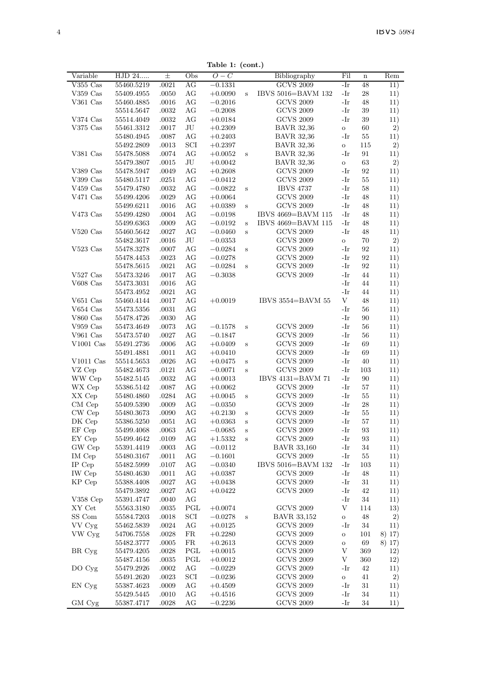Table 1: (cont.)

| Variable             | $\overline{\mathrm{HJD}}$ 24 | 士         | Obs         | rapie 1. (com.)<br>$O-C$ |         | Bibliography       | Fil          | $\mathbf n$ | Rem      |
|----------------------|------------------------------|-----------|-------------|--------------------------|---------|--------------------|--------------|-------------|----------|
| $V355$ $Cas$         | 55460.5219                   | .0021     | AG          | $-0.1331$                |         | <b>GCVS 2009</b>   | -Ir          | 48          | 11)      |
| $V359$ Cas           | 55409.4955                   | .0050     | AG          | $+0.0090$                | $\rm s$ | IBVS 5016=BAVM 132 | -Ir          | 28          | 11)      |
| V361 Cas             | 55460.4885                   | .0016     | AG          | $-0.2016$                |         | <b>GCVS 2009</b>   | -Ir          | 48          | 11)      |
|                      | 55514.5647                   | .0032     | AG          | $-0.2008$                |         | <b>GCVS 2009</b>   | -Ir          | 39          | 11)      |
| V374 Cas             | 55514.4049                   | .0032     | AG          | $+0.0184$                |         | <b>GCVS 2009</b>   | -Ir          | 39          | 11)      |
| V375 Cas             | 55461.3312                   | .0017     | JU          | $+0.2309$                |         | <b>BAVR 32,36</b>  | $\rm _O$     | 60          | 2)       |
|                      | 55480.4945                   | .0087     | AG          | $+0.2403$                |         | <b>BAVR 32,36</b>  | -Ir          | 55          | 11)      |
|                      | 55492.2809                   | .0013     | SCI         | $+0.2397$                |         | <b>BAVR 32.36</b>  | $\mathbf{o}$ | 115         | 2)       |
| V381 Cas             | 55478.5088                   | .0074     | AG          | $+0.0052$                | s       | <b>BAVR 32,36</b>  | -Ir          | 91          | 11)      |
|                      | 55479.3807                   | .0015     | JU          | $+0.0042$                |         | <b>BAVR 32.36</b>  | $\circ$      | 63          | 2)       |
| V389 Cas             | 55478.5947                   | .0049     | AG          | $+0.2608$                |         | <b>GCVS 2009</b>   | -Ir          | 92          | 11)      |
| V399 $\mathrm{Cas}$  | 55480.5117                   | .0251     | AG          | $-0.0412$                |         | <b>GCVS 2009</b>   | $-Ir$        | 55          | 11)      |
| V459 Cas             | 55479.4780                   | .0032     | AG          | $-0.0822$                | S       | <b>IBVS 4737</b>   | $-Ir$        | 58          | 11)      |
| V471 Cas             | 55499.4206                   | .0029     | AG          | $+0.0064$                |         | <b>GCVS 2009</b>   | -Ir          | 48          | 11)      |
|                      | 55499.6211                   | .0016     | AG          | $+0.0389$                | S       | <b>GCVS 2009</b>   | $-Ir$        | 48          | 11)      |
| V473 $Cas$           | 55499.4280                   | .0004     | AG          | $-0.0198$                |         | IBVS 4669=BAVM 115 | $-Ir$        | 48          | 11)      |
|                      | 55499.6363                   | .0009     | AG          | $-0.0192$                | S       | IBVS 4669=BAVM 115 | -Ir          | 48          | 11)      |
| $V520$ Cas           | 55460.5642                   | .0027     | AG          | $-0.0460$                | S       | <b>GCVS 2009</b>   | -Ir          | 48          | 11)      |
|                      | 55482.3617                   | .0016     | JU          | $-0.0353$                |         | <b>GCVS 2009</b>   | $\rm _O$     | 70          | 2)       |
| $V523$ Cas           | 55478.3278                   | .0007     | AG          | $-0.0284$                | s       | <b>GCVS 2009</b>   | -Ir          | 92          | 11)      |
|                      | 55478.4453                   | .0023     | AG          | $-0.0278$                |         | <b>GCVS 2009</b>   | -Ir          | 92          | 11)      |
|                      | 55478.5615                   | .0021     | AG          | $-0.0284$                | S       | <b>GCVS 2009</b>   | -Ir          | 92          | 11)      |
| V527 Cas             | 55473.3246                   | .0017     | AG          | $-0.3038$                |         | <b>GCVS 2009</b>   | -Ir          | 44          | 11)      |
| $V608$ Cas           | 55473.3031                   | .0016     | AG          |                          |         |                    | -Ir          | 44          | 11)      |
|                      | 55473.4952                   | .0021     | AG          |                          |         |                    | -Ir          | 44          | 11)      |
| V $651$ Cas          | 55460.4144                   | .0017     | AG          | $+0.0019$                |         | IBVS 3554=BAVM 55  | V            | 48          | 11)      |
| $V654$ Cas           | 55473.5356                   | .0031     | AG          |                          |         |                    | -Ir          | 56          | 11)      |
| $V860\;\mathrm{Cas}$ | 55478.4726                   | .0030     | AG          |                          |         |                    | $-Ir$        | 90          | 11)      |
| $V959$ Cas           | 55473.4649                   | .0073     | AG          | $-0.1578$                | $\rm s$ | <b>GCVS 2009</b>   | $-Ir$        | 56          | 11)      |
| $V961$ Cas           | 55473.5740                   | .0027     | AG          | $-0.1847$                |         | <b>GCVS 2009</b>   | $-Ir$        | 56          | 11)      |
| $V1001$ Cas          | 55491.2736                   | .0006     | AG          | $+0.0409$                | S       | <b>GCVS 2009</b>   | -Ir          | 69          | 11)      |
|                      | 55491.4881                   | .0011     | AG          | $+0.0410$                |         | <b>GCVS 2009</b>   | -Ir          | 69          | 11)      |
| $V1011$ Cas          | 55514.5653                   | .0026     | AG          | $+0.0475$                | s       | <b>GCVS 2009</b>   | -Ir          | 40          | 11)      |
| VZ Cep               | 55482.4673                   | .0121     | AG          | $-0.0071$                | S       | <b>GCVS 2009</b>   | -Ir          | 103         | 11)      |
| WW Cep               | 55482.5145                   | .0032     | AG          | $+0.0013$                |         | IBVS 4131=BAVM 71  | -Ir          | 90          | 11)      |
| WX Cep               | 55386.5142                   | .0087     | AG          | $+0.0062$                |         | <b>GCVS 2009</b>   | -Ir          | 57          | 11)      |
| XX Cep               | 55480.4860                   | .0284     | AG          | $+0.0045$                | s       | <b>GCVS 2009</b>   | -Ir          | 55          | 11)      |
| CM Cep               | 55409.5390                   | .0009     | AG          | $-0.0350$                |         | <b>GCVS 2009</b>   | -Ir          | 28          | 11)      |
| CW Cep               | 55480.3673                   | .0090     | AG          | $+0.2130$                | S       | <b>GCVS 2009</b>   | $-Ir$        | 55          | 11)      |
| DK Cep               | 55386.5250                   | .0051     | AG          | $+0.0363$                | $\rm s$ | <b>GCVS 2009</b>   | $-Ir$        | 57          | 11)      |
| EF Cep               | 55499.4068                   | .0063     | AG          | $-0.0685$                | S       | <b>GCVS 2009</b>   | -Ir          | 93          | 11)      |
| EY Cep               | 55499.4642                   | .0109     | AG          | $+1.5332$                | s       | <b>GCVS 2009</b>   | $-Ir$        | 93          | 11)      |
| GW Cep               | 55391.4419                   | .0003     | AG          | $-0.0112$                |         | <b>BAVR 33,160</b> | -Ir          | 34          | 11)      |
| IM Cep               | 55480.3167                   | .0011     | AG          | $-0.1601$                |         | <b>GCVS 2009</b>   | -Ir          | 55          | 11)      |
| IP Cep               | 55482.5999                   | .0107     | AG          | $-0.0340$                |         | IBVS 5016=BAVM 132 | -Ir          | 103         | 11)      |
| <b>IW</b> Cep        | 55480.4630                   | .0011     | AG          | $+0.0387$                |         | <b>GCVS 2009</b>   | -Ir          | 48          | 11)      |
| KP Cep               | 55388.4408                   | .0027     | AG          | $+0.0438$                |         | <b>GCVS 2009</b>   | -Ir          | 31          | 11)      |
|                      | 55479.3892                   | .0027     | AG          | $+0.0422$                |         | <b>GCVS 2009</b>   | -Ir          | 42          | 11)      |
| $V358$ Cep           | 55391.4747                   | .0040     | AG          |                          |         |                    | -Ir          | 34          | 11)      |
| XY Cet               | 55563.3180                   | .0035     | PGL         | $+0.0074$                |         | <b>GCVS 2009</b>   | V            | 114         | 13)      |
| SS Com               | 55584.7203                   | .0018     | SCI         | $-0.0278$                | s       | <b>BAVR 33,152</b> | $\mathbf{o}$ | 48          | 2)       |
| VV Cyg               | 55462.5839                   | .0024     | AG          | $+0.0125$                |         | <b>GCVS 2009</b>   | $-Ir$        | 34          | 11)      |
| VW Cyg               | 54706.7558                   | .0028     | $_{\rm FR}$ | $+0.2280$                |         | <b>GCVS 2009</b>   | $\circ$      | 101         | 8) 17)   |
|                      | 55482.3777                   | .0005     | $_{\rm FR}$ | $+0.2613$                |         | <b>GCVS 2009</b>   | $\ddot{o}$   | 69          | $8)$ 17) |
| BR Cyg               | 55479.4205                   | .0028     | PGL         | $+0.0015$                |         | <b>GCVS 2009</b>   | V            | 369         | 12)      |
|                      | 55487.4156                   | .0035     | PGL         | $+0.0012$                |         | <b>GCVS 2009</b>   | V            | 360         | 12)      |
| DO Cyg               | 55479.2926                   | $.0002\,$ | AG          | $-0.0229$                |         | <b>GCVS 2009</b>   | $-Ir$        | 42          | 11)      |
|                      | 55491.2620                   | .0023     | SCI         | $-0.0236$                |         | <b>GCVS 2009</b>   | $\rm _O$     | 41          | 2)       |
| EN Cyg               | 55387.4623                   | .0009     | AG          | $+0.4509$                |         | <b>GCVS 2009</b>   | -Ir          | 31          | 11)      |
|                      | 55429.5445                   | .0010     | AG          | $+0.4516$                |         | <b>GCVS 2009</b>   | -Ir          | 34          | 11)      |
| GM Cyg               | 55387.4717                   | .0028     | АG          | $-0.2236$                |         | <b>GCVS 2009</b>   | -Ir          | 34          | 11)      |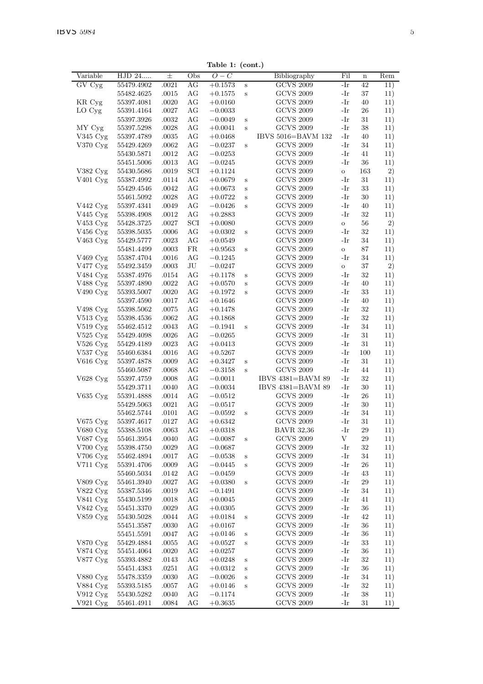|  | Table 1: (cont.) |
|--|------------------|

|                                  |            |          |     | rapie 1.  | $($ cont $\cdot$ |                    |         |             |     |
|----------------------------------|------------|----------|-----|-----------|------------------|--------------------|---------|-------------|-----|
| Variable                         | HJD 24     | $_{\pm}$ | Obs | $O-C$     |                  | Bibliography       | Fil     | $\mathbf n$ | Rem |
| GV Cyg                           | 55479.4902 | .0021    | АG  | $+0.1573$ | $\,$ s           | <b>GCVS 2009</b>   | -Ir     | 42          | 11) |
|                                  | 55482.4625 | .0015    | AG  | $+0.1575$ | S                | <b>GCVS 2009</b>   | -Ir     | 37          | 11) |
| KR Cyg                           | 55397.4081 | .0020    | AG  | $+0.0160$ |                  | <b>GCVS 2009</b>   | -Ir     | 40          | 11) |
| LO Cyg                           | 55391.4164 | .0027    | AG  | $-0.0033$ |                  | <b>GCVS 2009</b>   | -Ir     | 26          | 11) |
|                                  | 55397.3926 | .0032    | АG  | $-0.0049$ | S                | <b>GCVS 2009</b>   | -Ir     | 31          | 11) |
| MY Cvg                           | 55397.5298 | .0028    | АG  | $+0.0041$ | S                | <b>GCVS 2009</b>   | -Ir     | 38          | 11) |
|                                  |            |          | AG  |           |                  | IBVS 5016=BAVM 132 | -Ir     | 40          |     |
| V345 Cyg                         | 55397.4789 | .0035    |     | $+0.0468$ |                  |                    |         |             | 11) |
| V370 Cyg                         | 55429.4269 | .0062    | AG  | $-0.0237$ | Ś                | <b>GCVS 2009</b>   | -Ir     | 34          | 11) |
|                                  | 55430.5871 | .0012    | AG  | $-0.0253$ |                  | <b>GCVS 2009</b>   | -Ir     | 41          | 11) |
|                                  | 55451.5006 | .0013    | AG  | $-0.0245$ |                  | <b>GCVS 2009</b>   | -Ir     | 36          | 11) |
| V382 Cyg                         | 55430.5686 | .0019    | SCI | $+0.1124$ |                  | <b>GCVS 2009</b>   | $\circ$ | 163         | 2)  |
| V <sub>401</sub> Cyg             | 55387.4992 | .0114    | AG  | $+0.0679$ | S                | <b>GCVS 2009</b>   | -Ir     | 31          | 11) |
|                                  | 55429.4546 | .0042    | AG  | $+0.0673$ | S                | <b>GCVS 2009</b>   | -Ir     | 33          | 11) |
|                                  | 55461.5092 | .0028    | AG  | $+0.0722$ | S                | <b>GCVS 2009</b>   | -Ir     | 30          | 11) |
| $V442 \,\mathrm{Cyg}$            | 55397.4341 | .0049    | AG  | $-0.0426$ | S                | <b>GCVS 2009</b>   | -Ir     | 40          | 11) |
| V445 Cyg                         | 55398.4908 | .0012    | AG  | $+0.2883$ |                  | <b>GCVS 2009</b>   | -Ir     | 32          | 11) |
| V453 Cyg                         | 55428.3725 | .0027    | SCI | $+0.0080$ |                  | <b>GCVS 2009</b>   | $\circ$ | 56          | 2)  |
| V456 Cyg                         | 55398.5035 | .0006    | AG  | $+0.0302$ | Ś                | <b>GCVS 2009</b>   | -Ir     | 32          | 11) |
| V <sub>463</sub> C <sub>yg</sub> | 55429.5777 | .0023    | AG  | $+0.0549$ |                  | <b>GCVS 2009</b>   | -Ir     | 34          | 11) |
|                                  | 55481.4499 | .0003    | FR. | $+0.9563$ | S                | <b>GCVS 2009</b>   | $\circ$ | 87          | 11) |
| $V469$ Cyg                       | 55387.4704 | .0016    | AG  | $-0.1245$ |                  | <b>GCVS 2009</b>   | $-Ir$   | 34          | 11) |
| V477 Cyg                         | 55492.3459 | .0003    | JU  | $-0.0247$ |                  | <b>GCVS 2009</b>   | $\circ$ | 37          | 2)  |
| V484 Cyg                         | 55387.4976 | .0154    | AG  | $+0.1178$ | S                | <b>GCVS 2009</b>   | -Ir     | 32          | 11) |
|                                  |            |          |     |           |                  | <b>GCVS 2009</b>   | -Ir     |             |     |
| V488 Cyg                         | 55397.4890 | .0022    | AG  | $+0.0570$ | S                |                    |         | 40          | 11) |
| V490 Cyg                         | 55393.5007 | .0020    | AG  | $+0.1972$ | S                | <b>GCVS 2009</b>   | -Ir     | 33          | 11) |
|                                  | 55397.4590 | .0017    | AG  | $+0.1646$ |                  | <b>GCVS 2009</b>   | -Ir     | 40          | 11) |
| V498 Cyg                         | 55398.5062 | .0075    | AG  | $+0.1478$ |                  | <b>GCVS 2009</b>   | -Ir     | 32          | 11) |
| $V513 \,\mathrm{Cyg}$            | 55398.4536 | .0062    | AG  | $+0.1868$ |                  | <b>GCVS 2009</b>   | -Ir     | 32          | 11) |
| $V519$ $Cvg$                     | 55462.4512 | .0043    | АG  | $-0.1941$ | Ś                | <b>GCVS 2009</b>   | -Ir     | 34          | 11) |
| $V525$ Cyg                       | 55429.4098 | .0026    | AG  | $-0.0265$ |                  | <b>GCVS 2009</b>   | -Ir     | 31          | 11) |
| V526 Cyg                         | 55429.4189 | .0023    | AG  | $+0.0413$ |                  | <b>GCVS 2009</b>   | -Ir     | 31          | 11) |
| V537 Cyg                         | 55460.6384 | .0016    | AG  | $+0.5267$ |                  | <b>GCVS 2009</b>   | $-Ir$   | 100         | 11) |
| V616 Cyg                         | 55397.4878 | .0009    | AG  | $+0.3427$ | S                | <b>GCVS 2009</b>   | -Ir     | 31          | 11) |
|                                  | 55460.5087 | .0068    | AG  | $-0.3158$ | s                | <b>GCVS 2009</b>   | -Ir     | 44          | 11) |
| V628 Cyg                         | 55397.4759 | .0008    | AG  | $-0.0011$ |                  | IBVS 4381=BAVM 89  | -Ir     | 32          | 11) |
|                                  | 55429.3711 | .0040    | AG  | $-0.0034$ |                  | IBVS 4381=BAVM 89  | -Ir     | 30          | 11) |
| V635 Cyg                         | 55391.4888 | .0014    | AG  | $-0.0512$ |                  | <b>GCVS 2009</b>   | -Ir     | 26          | 11) |
|                                  | 55429.5063 | .0021    | AG  | $-0.0517$ |                  | <b>GCVS 2009</b>   | -Ir     | 30          | 11) |
|                                  | 55462.5744 | .0101    | AG  | $-0.0592$ | S                | <b>GCVS 2009</b>   | -Ir     | 34          | 11) |
| $V675$ Cyg                       | 55397.4617 | .0127    | AG  | $+0.6342$ |                  | <b>GCVS 2009</b>   | -Ir     | 31          | 11) |
| $V680 \,\mathrm{Cyg}$            | 55388.5108 | .0063    | АG  | $+0.0318$ |                  | <b>BAVR 32.36</b>  | -Ir     | 29          | 11) |
|                                  | 55461.3954 | .0040    | АG  |           |                  | <b>GCVS 2009</b>   | V       | 29          |     |
| V687 Cyg                         |            |          |     | $-0.0087$ | Ś                |                    |         |             | 11) |
| V700 Cyg                         | 55398.4750 | .0029    | AG  | $-0.0687$ |                  | <b>GCVS 2009</b>   | -Ir     | 32          | 11) |
| V706 Cyg                         | 55462.4894 | .0017    | AG  | $-0.0538$ | S                | <b>GCVS 2009</b>   | $-Ir$   | 34          | 11) |
| $V711 \text{ Cyg}$               | 55391.4706 | .0009    | AG  | $-0.0445$ | S                | <b>GCVS 2009</b>   | -Ir     | 26          | 11) |
|                                  | 55460.5034 | .0142    | АG  | $-0.0459$ |                  | <b>GCVS 2009</b>   | -Ir     | 43          | 11) |
| $V809$ $Cyg$                     | 55461.3940 | .0027    | AG  | $+0.0380$ | S                | <b>GCVS 2009</b>   | -Ir     | 29          | 11) |
| V822 Cyg                         | 55387.5346 | .0019    | AG  | $-0.1491$ |                  | <b>GCVS 2009</b>   | -Ir     | 34          | 11) |
| $V841\ \mathrm{Cyg}$             | 55430.5199 | .0018    | AG  | $+0.0045$ |                  | <b>GCVS 2009</b>   | -Ir     | 41          | 11) |
| V842 Cyg                         | 55451.3370 | .0029    | AG  | $+0.0305$ |                  | <b>GCVS 2009</b>   | -Ir     | 36          | 11) |
| V859 Cyg                         | 55430.5028 | .0044    | АG  | $+0.0184$ | S                | <b>GCVS 2009</b>   | -Ir     | 42          | 11) |
|                                  | 55451.3587 | .0030    | АG  | $+0.0167$ |                  | <b>GCVS 2009</b>   | -Ir     | 36          | 11) |
|                                  | 55451.5591 | .0047    | AG  | $+0.0146$ | s                | <b>GCVS 2009</b>   | -Ir     | 36          | 11) |
| V870 Cyg                         | 55429.4884 | .0055    | AG  | $+0.0527$ | S                | <b>GCVS 2009</b>   | -Ir     | 33          | 11) |
| V874 Cyg                         | 55451.4064 | .0020    | AG  | $+0.0257$ |                  | <b>GCVS 2009</b>   | -Ir     | 36          | 11) |
| V877 Cyg                         | 55393.4882 | .0143    | AG  | $+0.0248$ | S                | <b>GCVS 2009</b>   | -Ir     | 32          | 11) |
|                                  | 55451.4383 | .0251    | АG  | $+0.0312$ | S                | <b>GCVS 2009</b>   | -Ir     | 36          | 11) |
| V880 Cyg                         | 55478.3359 | .0030    | AG  | $-0.0026$ | S                | <b>GCVS 2009</b>   | -Ir     | 34          | 11) |
| V884 Cyg                         | 55393.5185 | .0057    | AG  | $+0.0146$ | Ś                | <b>GCVS 2009</b>   | -Ir     | 32          | 11) |
| $V912\;Cyg$                      | 55430.5282 | .0040    | AG  | $-0.1174$ |                  | <b>GCVS 2009</b>   | -Ir     | 38          | 11) |
| $V921 \,\mathrm{Cyg}$            | 55461.4911 | .0084    | АG  | $+0.3635$ |                  | <b>GCVS 2009</b>   | -Ir     | 31          | 11) |
|                                  |            |          |     |           |                  |                    |         |             |     |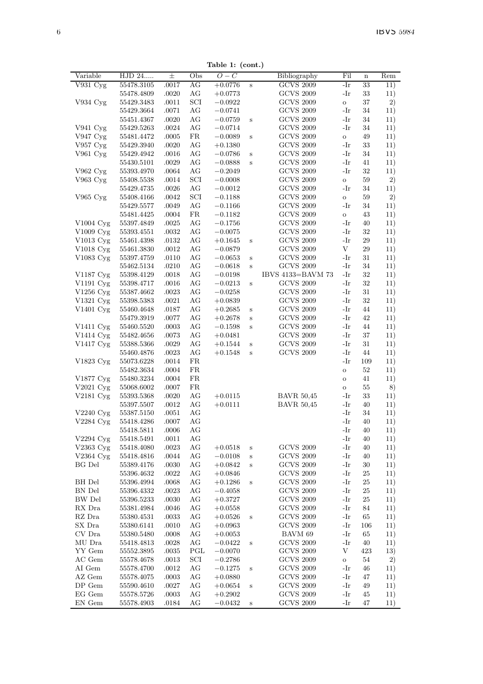Table 1: (cont.)

|                        |            |          |           | 1 . (COM.) |   |                   |              |             |     |
|------------------------|------------|----------|-----------|------------|---|-------------------|--------------|-------------|-----|
| Variable               | HJD 24     | $_{\pm}$ | Obs       | $O-C$      |   | Bibliography      | Fil          | $\mathbf n$ | Rem |
| V931 Cyg               | 55478.3105 | .0017    | AG        | $+0.0776$  | S | <b>GCVS 2009</b>  | -Ir          | 33          | 11) |
|                        | 55478.4809 | .0020    | AG        | $+0.0773$  |   | <b>GCVS 2009</b>  | -Ir          | 33          | 11) |
| V934 Cyg               | 55429.3483 | .0011    | SCI       | $-0.0922$  |   | <b>GCVS 2009</b>  | $\,$ O       | 37          | 2)  |
|                        | 55429.3664 | .0071    | AG        | $-0.0741$  |   | <b>GCVS 2009</b>  | -Ir          | 34          | 11) |
|                        | 55451.4367 | .0020    | AG        | $-0.0759$  | S | <b>GCVS 2009</b>  | -Ir          | 34          | 11) |
| $V941 \,\mathrm{Cyg}$  | 55429.5263 | .0024    | AG        | $-0.0714$  |   | <b>GCVS 2009</b>  | -Ir          | 34          | 11) |
| V947 Cyg               | 55481.4472 | .0005    | FR        | $-0.0089$  | S | <b>GCVS 2009</b>  | $\mathbf{o}$ | 49          | 11) |
| $V957 \,\mathrm{Cyg}$  | 55429.3940 | .0020    | AG        | $+0.1380$  |   | <b>GCVS 2009</b>  | -Ir          | 33          | 11) |
| V961 Cyg               | 55429.4942 | .0016    | AG        | $-0.0786$  | S | <b>GCVS 2009</b>  | -Ir          | 34          | 11) |
|                        | 55430.5101 | .0029    | AG        | $-0.0888$  | S | <b>GCVS 2009</b>  | -Ir          | 41          | 11) |
| $V962 \, Cyg$          | 55393.4970 | .0064    | AG        | $-0.2049$  |   | <b>GCVS 2009</b>  | -Ir          | 32          | 11) |
| V963 Cyg               | 55408.5538 | .0014    | SCI       | $-0.0008$  |   | <b>GCVS 2009</b>  | $\mathbf{o}$ | 59          | 2)  |
|                        | 55429.4735 | .0026    | AG        | $-0.0012$  |   | <b>GCVS 2009</b>  | -Ir          | 34          | 11) |
| V965 Cyg               | 55408.4166 | .0042    | SCI       | $-0.1188$  |   | <b>GCVS 2009</b>  | $\circ$      | 59          | 2)  |
|                        | 55429.5577 | .0049    | AG        | $-0.1166$  |   | <b>GCVS 2009</b>  | -Ir          | 34          | 11) |
|                        | 55481.4425 | .0004    | FR        | $-0.1182$  |   | <b>GCVS 2009</b>  | 0            | 43          | 11) |
| $V1004$ Cyg            | 55397.4849 | .0025    | AG        | $-0.1756$  |   | <b>GCVS 2009</b>  | -Ir          | 40          | 11) |
| V1009 Cyg              | 55393.4551 | .0032    | AG        | $-0.0075$  |   | <b>GCVS 2009</b>  | -Ir          | 32          | 11) |
| V1013 Cyg              | 55461.4398 | .0132    | AG        | $+0.1645$  | S | <b>GCVS 2009</b>  | -Ir          | 29          | 11) |
| V1018 Cyg              | 55461.3830 | .0012    | AG        | $-0.0879$  |   | <b>GCVS 2009</b>  | V            | 29          | 11) |
| V1083 Cyg              | 55397.4759 | .0110    | AG        | $-0.0653$  | s | <b>GCVS 2009</b>  | -Ir          | 31          | 11) |
|                        | 55462.5134 | .0210    | AG        | $-0.0618$  | S | <b>GCVS 2009</b>  | -Ir          | 34          | 11) |
| V1187 Cyg              | 55398.4129 | .0018    | AG        | $-0.0198$  |   | IBVS 4133=BAVM 73 | -Ir          | 32          | 11) |
| $V1191 \,\mathrm{Cyg}$ | 55398.4717 | .0016    | AG        | $-0.0213$  | S | <b>GCVS 2009</b>  | -Ir          | 32          | 11) |
| $V1256$ Cyg            | 55387.4662 | .0023    | AG        | $-0.0258$  |   | <b>GCVS 2009</b>  | -Ir          | 31          | 11) |
| V1321 Cyg              | 55398.5383 | .0021    | AG        | $+0.0839$  |   | <b>GCVS 2009</b>  | -Ir          | 32          | 11) |
| V1401 Cyg              | 55460.4648 | .0187    | AG        | $+0.2685$  | S | <b>GCVS 2009</b>  | -Ir          | 44          | 11) |
|                        | 55479.3919 | .0077    | AG        | $+0.2678$  | S | <b>GCVS 2009</b>  | -Ir          | 42          | 11) |
| V1411 Cyg              | 55460.5520 | .0003    | AG        | $-0.1598$  | S | <b>GCVS 2009</b>  | -Ir          | 44          | 11) |
| V1414 Cyg              | 55482.4656 | .0073    | AG        | $+0.0481$  |   | <b>GCVS 2009</b>  | -Ir          | 37          | 11) |
| V1417 Cyg              | 55388.5366 | .0029    | AG        | $+0.1544$  | S | <b>GCVS 2009</b>  | -Ir          | 31          | 11) |
|                        | 55460.4876 | .0023    | AG        | $+0.1548$  | S | <b>GCVS 2009</b>  | -Ir          | 44          | 11) |
| V1823 Cyg              | 55073.6228 | .0014    | FR        |            |   |                   | -Ir          | 109         | 11) |
|                        | 55482.3634 | .0004    | <b>FR</b> |            |   |                   | $\circ$      | 52          | 11) |
| V1877 Cyg              | 55480.3234 | .0004    | FR.       |            |   |                   | $\circ$      | 41          | 11) |
| $V2021 \,\mathrm{Cyg}$ | 55068.6002 | .0007    | FR.       |            |   |                   | Ō            | 55          | 8)  |
| V2181 Cyg              | 55393.5368 | .0020    | АG        | $+0.0115$  |   | <b>BAVR 50,45</b> | -Ir          | 33          | 11) |
|                        | 55397.5507 | .0012    | AG        | $+0.0111$  |   | <b>BAVR</b> 50,45 | -Ir          | 40          | 11) |
| V2240 Cyg              | 55387.5150 | .0051    | AG        |            |   |                   | -Ir          | 34          | 11) |
| V2284 Cyg              | 55418.4286 | .0007    | AG        |            |   |                   | -Ir          | 40          | 11) |
|                        | 55418.5811 | .0006    | AG        |            |   |                   | -Ir          | 40          | 11) |
| $V2294$ Cyg            | 55418.5491 | .0011    | AG        |            |   |                   | -Ir          | 40          | 11) |
| V2363 Cyg              | 55418.4080 | .0023    | AG        | $+0.0518$  | S | <b>GCVS 2009</b>  | -Ir          | 40          | 11) |
| V2364 Cyg              | 55418.4816 | .0044    | AG        | $-0.0108$  | S | <b>GCVS 2009</b>  | -Ir          | 40          | 11) |
| <b>BG</b> Del          | 55389.4176 | .0030    | AG        | $+0.0842$  | Ś | <b>GCVS 2009</b>  | -Ir          | 30          | 11) |
|                        | 55396.4632 | .0022    | AG        | $+0.0846$  |   | <b>GCVS 2009</b>  | -Ir          | 25          | 11) |
| <b>BH</b> Del          | 55396.4994 | .0068    | AG        | $+0.1286$  | Ś | <b>GCVS 2009</b>  | -Ir          | 25          | 11) |
| BN Del                 | 55396.4332 | .0023    | AG        | $-0.4058$  |   | <b>GCVS 2009</b>  | -Ir          | 25          | 11) |
| BW Del                 | 55396.5233 | .0030    | AG        | $+0.3727$  |   | <b>GCVS 2009</b>  | -Ir          | 25          | 11) |
| RX Dra                 | 55381.4984 | .0046    | АG        | $+0.0558$  |   | <b>GCVS 2009</b>  | -Ir          | 84          | 11) |
| RZ Dra                 | 55380.4531 | .0033    | AG        | $+0.0526$  | Ś | <b>GCVS 2009</b>  | -Ir          | 65          | 11) |
| SX Dra                 | 55380.6141 | .0010    | AG        | $+0.0963$  |   | <b>GCVS 2009</b>  | -Ir          | 106         | 11) |
| CV Dra                 | 55380.5480 | .0008    | AG        | $+0.0053$  |   | BAVM 69           | -Ir          | 65          | 11) |
| MU Dra                 | 55418.4813 | .0028    | AG        | $-0.0422$  | Ś | <b>GCVS 2009</b>  | -Ir          | 40          | 11) |
| YY Gem                 | 55552.3895 | .0035    | PGL       | $-0.0070$  |   | <b>GCVS 2009</b>  | V            | 423         | 13) |
| AC Gem                 | 55578.4678 | .0013    | SCI       | $-0.2786$  |   | <b>GCVS 2009</b>  | $\circ$      | 54          | 2)  |
| AI Gem                 | 55578.4700 | .0012    | AG        | $-0.1275$  | S | <b>GCVS 2009</b>  | -Ir          | 46          | 11) |
| AZ Gem                 | 55578.4075 | .0003    | AG        | $+0.0880$  |   | <b>GCVS 2009</b>  | -Ir          | 47          | 11) |
| DP Gem                 | 55590.4610 | .0027    | AG        | $+0.0654$  | S | <b>GCVS 2009</b>  | -Ir          | 49          | 11) |
| EG Gem                 | 55578.5726 | .0003    | AG        | $+0.2902$  |   | <b>GCVS 2009</b>  | -Ir          | 45          | 11) |
| EN Gem                 | 55578.4903 | .0184    | AG        | $-0.0432$  | Ś | <b>GCVS 2009</b>  | -Ir          | 47          | 11) |
|                        |            |          |           |            |   |                   |              |             |     |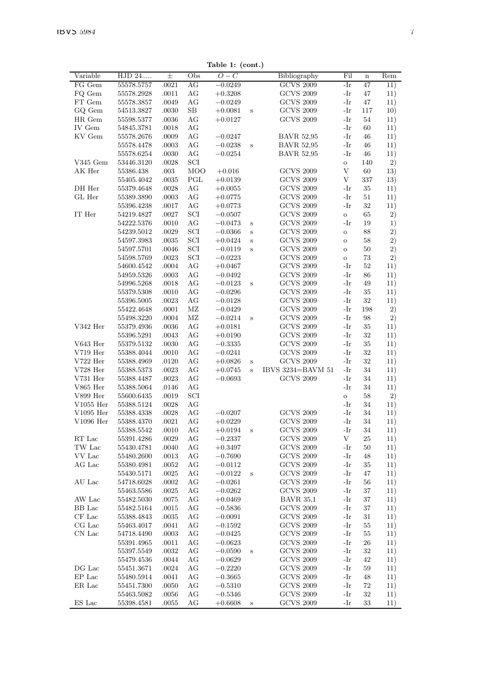| Variable          | $\overline{\mathrm{HJD}}$ 24 | $\pm$     | Obs         | rapie 1. (com.)<br>$\overline{O}-C$ |         | Bibliography      | Fil          | $\mathbf n$ | Rem |
|-------------------|------------------------------|-----------|-------------|-------------------------------------|---------|-------------------|--------------|-------------|-----|
| FG Gem            | 55578.5757                   | .0021     | AG          | $-0.0249$                           |         | <b>GCVS 2009</b>  | -Ir          | 47          | 11) |
| FQ Gem            | 55578.2928                   | .0011     | AG          | $+0.3208$                           |         | <b>GCVS 2009</b>  | -Ir          | 47          | 11) |
| $FT$ ${\rm Gen}$  | 55578.3857                   | .0049     | AG          | $-0.0249$                           |         | <b>GCVS 2009</b>  | -Ir          | 47          | 11) |
| GQ Gem            | 54513.3827                   | .0030     | $_{\rm SB}$ | $+0.0081$                           | S       | <b>GCVS 2009</b>  | -Ir          | 117         | 10) |
| HR Gem            | 55598.5377                   | .0036     | AG          | $+0.0127$                           |         | <b>GCVS 2009</b>  | -Ir          | 54          | 11) |
| IV Gem            | 54845.3781                   | .0018     | AG          |                                     |         |                   | -Ir          | 60          | 11) |
| KV Gem            | 55578.2676                   | .0009     | AG          | $-0.0247$                           |         | <b>BAVR 52,95</b> | -Ir          | 46          | 11) |
|                   | 55578.4478                   | .0003     | AG          | $-0.0238$                           | $\bf s$ | <b>BAVR 52,95</b> | -Ir          | 46          | 11) |
|                   | 55578.6254                   | .0030     | AG          | $-0.0254$                           |         | <b>BAVR 52.95</b> | -Ir          | 46          | 11) |
| V345 Gem          | 53446.3120                   | .0028     | SCI         |                                     |         |                   | $\circ$      | 140         | 2)  |
| AK Her            | 55386.438                    | .003      | MOO         | $+0.016$                            |         | <b>GCVS 2009</b>  | V            | 60          | 13) |
|                   | 55405.4042                   | .0035     | PGL         | $+0.0139$                           |         | <b>GCVS 2009</b>  | V            | 337         | 13) |
| DH Her            | 55379.4648                   | .0028     | AG          | $+0.0055$                           |         | <b>GCVS 2009</b>  | -Ir          | 35          | 11) |
| GL Her            | 55389.3890                   | .0003     | AG          | $+0.0775$                           |         | <b>GCVS 2009</b>  | -Ir          | 51          | 11) |
|                   | 55396.4238                   | .0017     | AG          | $+0.0773$                           |         | <b>GCVS 2009</b>  | -Ir          | 32          | 11) |
| IT Her            | 54219.4827                   | .0027     | SCI         | $-0.0507$                           |         | <b>GCVS 2009</b>  | $\mathbf{o}$ | 65          | 2)  |
|                   | 54222.5376                   | .0010     | AG          | $-0.0473$                           | $\rm s$ | <b>GCVS 2009</b>  | -Ir          | 19          | 1)  |
|                   | 54239.5012                   | .0029     | SCI         | $-0.0366$                           | S       | <b>GCVS 2009</b>  | $\circ$      | 88          | 2)  |
|                   | 54597.3983                   | .0035     | SCI         | $+0.0424$                           | S       | <b>GCVS 2009</b>  | $\circ$      | 58          | 2)  |
|                   | 54597.5701                   | .0046     | SCI         | $-0.0119$                           | S       | <b>GCVS 2009</b>  | $\circ$      | 50          | 2)  |
|                   | 54598.5769                   | $.0023\,$ | SCI         | $-0.0223$                           |         | <b>GCVS 2009</b>  | $\circ$      | 73          | 2)  |
|                   | 54600.4542                   | .0004     | AG          | $+0.0467$                           |         | <b>GCVS 2009</b>  | -Ir          | 52          | 11) |
|                   | 54959.5326                   | .0003     | AG          | $-0.0492$                           |         | <b>GCVS 2009</b>  | -Ir          | 86          | 11) |
|                   | 54996.5268                   | .0018     | AG          | $-0.0123$                           | S       | <b>GCVS 2009</b>  | -Ir          | 49          | 11) |
|                   | 55379.5308                   | .0010     | AG          | $-0.0296$                           |         | <b>GCVS 2009</b>  | -Ir          | 35          | 11) |
|                   | 55396.5005                   | .0023     | AG          | $-0.0128$                           |         | <b>GCVS 2009</b>  | -Ir          | 32          | 11) |
|                   | 55422.4648                   | .0001     | МZ          | $-0.0429$                           |         | <b>GCVS 2009</b>  | -Ir          | 198         | 2)  |
|                   | 55498.3220                   | .0004     | МZ          | $-0.0214$                           | S       | <b>GCVS 2009</b>  | -Ir          | 98          | 2)  |
| $\rm V342\,\,Her$ | 55379.4936                   | .0036     | AG          | $+0.0181$                           |         | <b>GCVS 2009</b>  | -Ir          | 35          | 11) |
|                   | 55396.5291                   | .0043     | AG          | $+0.0190$                           |         | <b>GCVS 2009</b>  | -Ir          | 32          | 11) |
| V643 Her          | 55379.5132                   | .0030     | AG          | $-0.3335$                           |         | <b>GCVS 2009</b>  | -Ir          | 35          | 11) |
| V719 Her          | 55388.4044                   | .0010     | AG          | $-0.0241$                           |         | <b>GCVS 2009</b>  | -Ir          | 32          | 11) |
| $V722$ Her        | 55388.4969                   | .0120     | AG          | $+0.0826$                           |         | <b>GCVS 2009</b>  | -Ir          | 32          | 11) |
| $V728$ Her        |                              | .0023     | AG          |                                     | S       | IBVS 3234=BAVM 51 | -Ir          | 34          |     |
| V731 Her          | 55388.5373                   |           |             | $+0.0745$<br>$-0.0693$              | $\bf s$ | <b>GCVS 2009</b>  | -Ir          | 34          | 11) |
|                   | 55388.4487                   | .0023     | AG          |                                     |         |                   |              |             | 11) |
| V865 Her          | 55388.5064                   | .0146     | AG          |                                     |         |                   | -Ir          | 34          | 11) |
| V899 Her          | 55600.6435                   | .0019     | SCI         |                                     |         |                   | $\mathbf{o}$ | 58          | 2)  |
| $\rm V1055\ Her$  | 55388.5124                   | $.0028\,$ | AG          |                                     |         |                   | -Ir          | 34          | 11) |
| V1095 $Her$       | 55388.4338                   | $.0028\,$ | AG          | $-0.0207$                           |         | <b>GCVS 2009</b>  | -Ir          | 34          | 11) |
| V1096 Her         | 55388.4370                   | .0021     | AG          | $+0.0229$                           |         | <b>GCVS 2009</b>  | -Ir          | 34          | 11) |
|                   | 55388.5542                   | .0010     | AG          | $+0.0194$                           | S       | <b>GCVS 2009</b>  | -Ir          | 34          | 11) |
| RT Lac            | 55391.4286                   | .0029     | AG          | $-0.2337$                           |         | <b>GCVS 2009</b>  | V            | 25          | 11) |
| TW Lac            | 55430.4781                   | .0040     | AG          | $+0.3497$                           |         | <b>GCVS 2009</b>  | -Ir          | 50          | 11) |
| VV Lac            | 55480.2600                   | .0013     | AG          | $-0.7690$                           |         | <b>GCVS 2009</b>  | -Ir          | 48          | 11) |
| AG Lac            | 55380.4981                   | .0052     | AG          | $-0.0112$                           |         | <b>GCVS 2009</b>  | -Ir          | 35          | 11) |
|                   | 55430.5171                   | .0025     | AG          | $-0.0122$                           | S       | <b>GCVS 2009</b>  | -Ir          | 47          | 11) |
| AU Lac            | 54718.6028                   | $.0002\,$ | AG          | $-0.0261$                           |         | <b>GCVS 2009</b>  | -Ir          | 56          | 11) |
|                   | 55463.5586                   | .0025     | AG          | $-0.0262$                           |         | <b>GCVS 2009</b>  | -Ir          | 37          | 11) |
| AW Lac            | 55482.5030                   | .0075     | AG          | $+0.0469$                           |         | <b>BAVR 35,1</b>  | -Ir          | 37          | 11) |
| BB Lac            | 55482.5164                   | .0015     | AG          | $-0.5836$                           |         | <b>GCVS 2009</b>  | -Ir          | 37          | 11) |
| $\rm CF~Lac$      | 55388.4843                   | .0035     | AG          | $-0.0091$                           |         | <b>GCVS 2009</b>  | -Ir          | 31          | 11) |
| CG Lac            | 55463.4017                   | .0041     | AG          | $-0.1592$                           |         | <b>GCVS 2009</b>  | -Ir          | 55          | 11) |
| CN Lac            | 54718.4490                   | .0003     | AG          | $-0.0425$                           |         | <b>GCVS 2009</b>  | -Ir          | 55          | 11) |
|                   | 55391.4965                   | .0011     | AG          | $-0.0623$                           |         | <b>GCVS 2009</b>  | -Ir          | 26          | 11) |
|                   | 55397.5549                   | .0032     | AG          | $-0.0590$                           | S       | <b>GCVS 2009</b>  | -Ir          | 32          | 11) |
|                   | 55479.4536                   | .0044     | AG          | $-0.0629$                           |         | <b>GCVS 2009</b>  | -Ir          | 42          | 11) |
| DG Lac            | 55451.3671                   | .0024     | AG          | $-0.2220$                           |         | <b>GCVS 2009</b>  | -Ir          | 59          | 11) |
| EP Lac            | 55480.5914                   | .0041     | AG          | $-0.3665$                           |         | <b>GCVS 2009</b>  | -Ir          | 48          | 11) |
| $ER$ Lac $\,$     | 55451.7300                   | .0050     | AG          | $-0.5310$                           |         | <b>GCVS 2009</b>  | -Ir          | 72          | 11) |
|                   | 55463.5082                   | .0056     | AG          | $-0.5346$                           |         | <b>GCVS 2009</b>  | -Ir          | 32          | 11) |
| ES Lac            | 55398.4581                   | .0055     | AG          | $+0.6608$                           | S       | <b>GCVS 2009</b>  | -Ir          | 33          | 11) |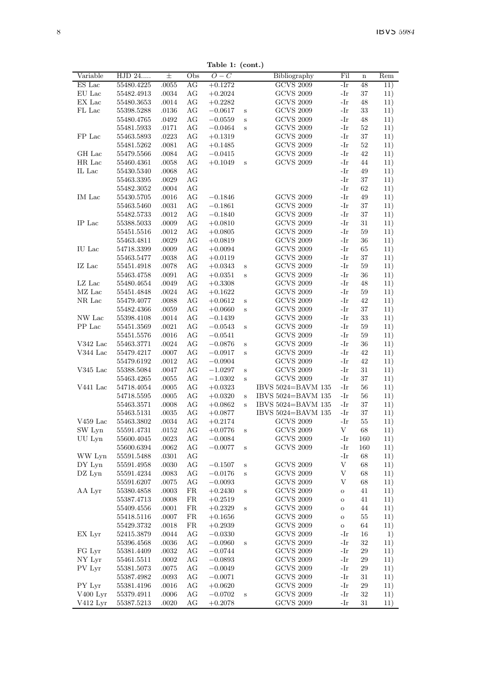Table 1: (cont.)

|            |            |       |     | rapie 1. (com.)  |        |                    |         |             |     |
|------------|------------|-------|-----|------------------|--------|--------------------|---------|-------------|-----|
| Variable   | HJD 24     | $\pm$ | Obs | $\overline{O}-C$ |        | Bibliography       | Fil     | $\mathbf n$ | Rem |
| ES Lac     | 55480.4225 | .0055 | AG  | $+0.1272$        |        | <b>GCVS 2009</b>   | -Ir     | 48          | 11) |
| EU Lac     | 55482.4913 | .0034 | AG  | $+0.2024$        |        | <b>GCVS 2009</b>   | -Ir     | 37          | 11) |
| EX Lac     | 55480.3653 | .0014 | AG  | $+0.2282$        |        | <b>GCVS 2009</b>   | -Ir     | 48          | 11) |
| FL Lac     | 55398.5288 | .0136 | AG  | $-0.0617$        | S      | <b>GCVS 2009</b>   | -Ir     | 33          | 11) |
|            | 55480.4765 | .0492 | AG  | $-0.0559$        | $\,$ s | <b>GCVS 2009</b>   | -Ir     | 48          | 11) |
|            | 55481.5933 | .0171 | AG  | $-0.0464$        | S      | <b>GCVS 2009</b>   | -Ir     | 52          | 11) |
| FP Lac     | 55463.5893 | .0223 | AG  | $+0.1319$        |        | <b>GCVS 2009</b>   | -Ir     | 37          | 11) |
|            | 55481.5262 | .0081 | AG  | $+0.1485$        |        | <b>GCVS 2009</b>   | -Ir     | 52          | 11) |
| GH Lac     |            | .0084 | AG  |                  |        | <b>GCVS 2009</b>   | -Ir     | 42          |     |
|            | 55479.5566 |       |     | $-0.0415$        |        |                    |         |             | 11) |
| HR Lac     | 55460.4361 | .0058 | AG  | $+0.1049$        | S      | <b>GCVS 2009</b>   | -Ir     | 44          | 11) |
| IL Lac     | 55430.5340 | .0068 | AG  |                  |        |                    | -Ir     | 49          | 11) |
|            | 55463.3395 | .0029 | AG  |                  |        |                    | -Ir     | 37          | 11) |
|            | 55482.3052 | .0004 | AG  |                  |        |                    | -Ir     | 62          | 11) |
| IM Lac     | 55430.5705 | .0016 | AG  | $-0.1846$        |        | <b>GCVS 2009</b>   | -Ir     | 49          | 11) |
|            | 55463.5460 | .0031 | AG  | $-0.1861$        |        | <b>GCVS 2009</b>   | -Ir     | 37          | 11) |
|            | 55482.5733 | .0012 | AG  | $-0.1840$        |        | <b>GCVS 2009</b>   | -Ir     | 37          | 11) |
| IP Lac     | 55388.5033 | .0009 | ΑG  | $+0.0810$        |        | <b>GCVS 2009</b>   | -Ir     | 31          | 11) |
|            | 55451.5516 | .0012 | AG  | $+0.0805$        |        | <b>GCVS 2009</b>   | -Ir     | 59          | 11) |
|            | 55463.4811 | .0029 | AG  | $+0.0819$        |        | <b>GCVS 2009</b>   | -Ir     | 36          | 11) |
| IU Lac     | 54718.3399 | .0009 | AG  | $+0.0094$        |        | <b>GCVS 2009</b>   | -Ir     | 65          | 11) |
|            | 55463.5477 | .0038 | AG  | $+0.0119$        |        | <b>GCVS 2009</b>   | -Ir     | 37          | 11) |
|            |            |       |     |                  |        |                    |         |             |     |
| IZ Lac     | 55451.4918 | .0078 | AG  | $+0.0343$        | S      | <b>GCVS 2009</b>   | -Ir     | 59          | 11) |
|            | 55463.4758 | .0091 | АG  | $+0.0351$        | S      | <b>GCVS 2009</b>   | -Ir     | 36          | 11) |
| LZ Lac     | 55480.4654 | .0049 | AG  | $+0.3308$        |        | <b>GCVS 2009</b>   | -Ir     | 48          | 11) |
| MZ Lac     | 55451.4848 | .0024 | AG  | $+0.1622$        |        | <b>GCVS 2009</b>   | -Ir     | 59          | 11) |
| NR Lac     | 55479.4077 | .0088 | AG  | $+0.0612$        | S      | <b>GCVS 2009</b>   | -Ir     | 42          | 11) |
|            | 55482.4366 | .0059 | AG  | $+0.0660$        | S      | <b>GCVS 2009</b>   | -Ir     | 37          | 11) |
| NW Lac     | 55398.4108 | .0014 | AG  | $-0.1439$        |        | <b>GCVS 2009</b>   | -Ir     | 33          | 11) |
| PP Lac     | 55451.3569 | .0021 | AG  | $-0.0543$        | S      | <b>GCVS 2009</b>   | -Ir     | 59          | 11) |
|            | 55451.5576 | .0016 | AG  | $-0.0541$        |        | <b>GCVS 2009</b>   | -Ir     | 59          | 11) |
| $V342$ Lac | 55463.3771 | .0024 | AG  | $-0.0876$        | S      | <b>GCVS 2009</b>   | -Ir     | 36          | 11) |
| $V344$ Lac | 55479.4217 | .0007 | AG  | $-0.0917$        | S      | <b>GCVS 2009</b>   | -Ir     | 42          | 11) |
|            | 55479.6192 | .0012 | AG  | $-0.0904$        |        | <b>GCVS 2009</b>   | -Ir     | 42          | 11) |
| $V345$ Lac | 55388.5084 | .0047 | AG  | $-1.0297$        | S      | <b>GCVS 2009</b>   | -Ir     | 31          | 11) |
|            |            |       |     |                  |        |                    | -Ir     | 37          |     |
|            | 55463.4265 | .0055 | AG  | $-1.0302$        | S      | <b>GCVS 2009</b>   |         |             | 11) |
| V441 Lac   | 54718.4054 | .0005 | AG  | $+0.0323$        |        | IBVS 5024=BAVM 135 | -Ir     | 56          | 11) |
|            | 54718.5595 | .0005 | АG  | $+0.0320$        | S      | IBVS 5024=BAVM 135 | -Ir     | 56          | 11) |
|            | 55463.3571 | .0008 | AG  | $+0.0862$        | S      | IBVS 5024=BAVM 135 | -Ir     | 37          | 11) |
|            | 55463.5131 | .0035 | AG  | $+0.0877$        |        | IBVS 5024=BAVM 135 | $-Ir$   | 37          | 11) |
| V459 Lac   | 55463.3802 | .0034 | AG  | $+0.2174$        |        | <b>GCVS 2009</b>   | -Ir     | 55          | 11) |
| SW Lyn     | 55591.4731 | .0152 | AG  | $+0.0776$        | $\,$ s | <b>GCVS 2009</b>   | V       | 68          | 11) |
| UU Lyn     | 55600.4045 | .0023 | AG  | $-0.0084$        |        | <b>GCVS 2009</b>   | -Ir     | 160         | 11) |
|            | 55600.6394 | .0062 | AG  | $-0.0077$        | S      | <b>GCVS 2009</b>   | -Ir     | 160         | 11) |
| WW Lyn     | 55591.5488 | .0301 | AG  |                  |        |                    | -Ir     | 68          | 11) |
| DY Lyn     | 55591.4958 | .0030 | AG  | $-0.1507$        | S      | <b>GCVS 2009</b>   | V       | 68          | 11) |
| DZ Lyn     | 55591.4234 | .0083 | AG  | $-0.0176$        | S      | <b>GCVS 2009</b>   | V       | 68          | 11) |
|            | 55591.6207 | .0075 | AG  | $-0.0093$        |        | <b>GCVS 2009</b>   | V       | 68          | 11) |
| AA Lyr     | 55380.4858 | .0003 | FR  | $+0.2430$        |        | <b>GCVS 2009</b>   | $\circ$ | 41          | 11) |
|            |            |       |     |                  | s      |                    |         | 41          |     |
|            | 55387.4713 | .0008 | FR  | $+0.2519$        |        | <b>GCVS 2009</b>   | $\circ$ |             | 11) |
|            | 55409.4556 | .0001 | FR. | $+0.2329$        | S      | GCVS 2009          | $\circ$ | 44          | 11) |
|            | 55418.5116 | .0007 | FR. | $+0.1656$        |        | <b>GCVS 2009</b>   | $\circ$ | 55          | 11) |
|            | 55429.3732 | .0018 | FR  | $+0.2939$        |        | <b>GCVS 2009</b>   | $\circ$ | 64          | 11) |
| EX Lyr     | 52415.3879 | .0044 | AG  | $-0.0330$        |        | <b>GCVS 2009</b>   | -Ir     | 16          | 1)  |
|            | 55396.4568 | .0036 | AG  | $-0.0960$        | S      | <b>GCVS 2009</b>   | -Ir     | 32          | 11) |
| FG Lyr     | 55381.4409 | .0032 | AG  | $-0.0744$        |        | <b>GCVS 2009</b>   | -Ir     | 29          | 11) |
| NY Lyr     | 55461.5511 | .0002 | AG  | $-0.0893$        |        | <b>GCVS 2009</b>   | -Ir     | 29          | 11) |
| PV Lyr     | 55381.5073 | .0075 | AG  | $-0.0049$        |        | <b>GCVS 2009</b>   | -Ir     | 29          | 11) |
|            | 55387.4982 | .0093 | AG  | $-0.0071$        |        | <b>GCVS 2009</b>   | -Ir     | 31          | 11) |
| PY Lyr     | 55381.4196 | .0016 | AG  | $+0.0620$        |        | <b>GCVS 2009</b>   | -Ir     | 29          | 11) |
| $V400$ Lyr | 55379.4911 | .0006 | AG  | $-0.0702$        | S      | <b>GCVS 2009</b>   | -Ir     | 32          | 11) |
| V412 Lyr   | 55387.5213 | .0020 | AG  | $+0.2078$        |        | <b>GCVS 2009</b>   | -Ir     | 31          | 11) |
|            |            |       |     |                  |        |                    |         |             |     |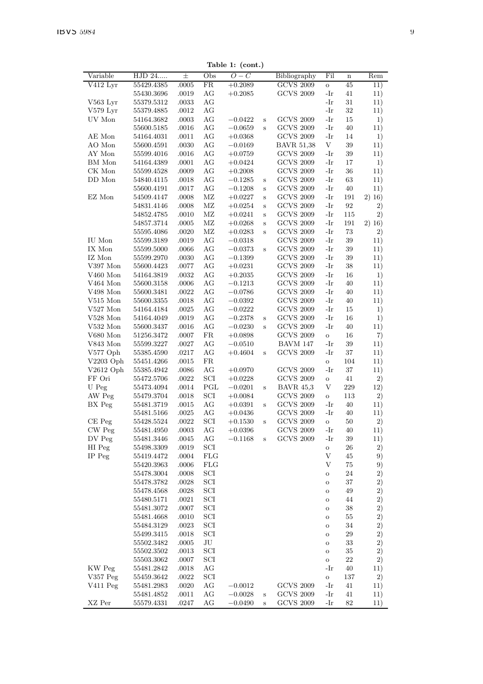Table 1: (cont.)

|             | HJD 24     |       | Obs | $O-C$     |   |                   | Fil     |                         | Rem     |
|-------------|------------|-------|-----|-----------|---|-------------------|---------|-------------------------|---------|
| Variable    |            | 士     |     |           |   | Bibliography      |         | $\overline{\mathbf{n}}$ |         |
| V412 Lyr    | 55429.4385 | .0005 | FR  | $+0.2089$ |   | GCVS 2009         | O       | 45                      | 11)     |
|             | 55430.3696 | .0019 | AG  | $+0.2085$ |   | <b>GCVS 2009</b>  | -Ir     | 41                      | 11)     |
| V563 Lyr    | 55379.5312 | .0033 | AG  |           |   |                   | -Ir     | 31                      | 11)     |
| V579 Lyr    | 55379.4885 | .0012 | AG  |           |   |                   | -Ir     | 32                      | 11)     |
|             |            |       |     |           |   |                   |         |                         |         |
| UV Mon      | 54164.3682 | .0003 | AG  | $-0.0422$ | Ś | <b>GCVS 2009</b>  | -Ir     | 15                      | $_{1)}$ |
|             | 55600.5185 | .0016 | AG  | $-0.0659$ | S | <b>GCVS 2009</b>  | -Ir     | 40                      | 11)     |
| AE Mon      | 54164.4031 | .0011 | AG  | $+0.0368$ |   | <b>GCVS 2009</b>  | -Ir     | 14                      | $_{1)}$ |
| AO Mon      | 55600.4591 | .0030 | AG  | $-0.0169$ |   | <b>BAVR 51,38</b> | V       | 39                      | 11)     |
|             |            |       |     |           |   |                   |         |                         |         |
| AY Mon      | 55599.4016 | .0016 | AG  | $+0.0759$ |   | <b>GCVS 2009</b>  | -Ir     | 39                      | 11)     |
| BM Mon      | 54164.4389 | .0001 | AG  | $+0.0424$ |   | <b>GCVS 2009</b>  | -Ir     | 17                      | $_{1)}$ |
| CK Mon      | 55599.4528 | .0009 | AG  | $+0.2008$ |   | <b>GCVS 2009</b>  | -Ir     | 36                      | 11)     |
| DD Mon      | 54840.4115 | .0018 | AG  | $-0.1285$ | S | <b>GCVS 2009</b>  | -Ir     | 63                      | 11)     |
|             |            |       |     |           |   |                   |         |                         |         |
|             | 55600.4191 | .0017 | AG  | $-0.1208$ | S | <b>GCVS 2009</b>  | -Ir     | 40                      | 11)     |
| EZ Mon      | 54509.4147 | .0008 | ΜZ  | $+0.0227$ | S | <b>GCVS 2009</b>  | -Ir     | 191                     | 2) 16)  |
|             | 54831.4146 | .0008 | MZ  | $+0.0254$ | S | <b>GCVS 2009</b>  | -Ir     | 92                      | 2)      |
|             | 54852.4785 | .0010 | MZ  | $+0.0241$ | Ś | <b>GCVS 2009</b>  | -Ir     | 115                     | 2)      |
|             | 54857.3714 | .0005 | MZ  | $+0.0268$ |   | <b>GCVS 2009</b>  | -Ir     | 191                     |         |
|             |            |       |     |           | Ś |                   |         |                         | 2)16)   |
|             | 55595.4086 | .0020 | MZ  | $+0.0283$ | S | <b>GCVS 2009</b>  | -Ir     | 73                      | 2)      |
| IU Mon      | 55599.3189 | .0019 | AG  | $-0.0318$ |   | <b>GCVS 2009</b>  | -Ir     | 39                      | 11)     |
| IX Mon      | 55599.5000 | .0066 | AG  | $-0.0373$ | Ś | <b>GCVS 2009</b>  | -Ir     | 39                      | 11)     |
| IZ Mon      | 55599.2970 | .0030 | AG  | $-0.1399$ |   | <b>GCVS 2009</b>  | -Ir     | 39                      | 11)     |
|             |            |       |     |           |   |                   |         |                         |         |
| V397 Mon    | 55600.4423 | .0077 | AG  | $+0.0231$ |   | <b>GCVS 2009</b>  | -Ir     | 38                      | 11)     |
| V460 Mon    | 54164.3819 | .0032 | AG  | $+0.2035$ |   | <b>GCVS 2009</b>  | -Ir     | 16                      | 1)      |
| $V464$ Mon  | 55600.3158 | .0006 | AG  | $-0.1213$ |   | <b>GCVS 2009</b>  | -Ir     | 40                      | 11)     |
| V498 Mon    | 55600.3481 | .0022 | AG  | $-0.0786$ |   | <b>GCVS 2009</b>  | -Ir     | 40                      | 11)     |
|             |            |       |     |           |   |                   |         |                         |         |
| $V515$ Mon  | 55600.3355 | .0018 | AG  | $-0.0392$ |   | <b>GCVS 2009</b>  | -Ir     | 40                      | 11)     |
| $V527$ Mon  | 54164.4184 | .0025 | AG  | $-0.0222$ |   | <b>GCVS 2009</b>  | -Ir     | 15                      | 1)      |
| $V528$ Mon  | 54164.4049 | .0019 | AG  | $-0.2378$ | S | <b>GCVS 2009</b>  | -Ir     | 16                      | 1)      |
| $V532$ Mon  | 55600.3437 | .0016 | AG  | $-0.0230$ | S | <b>GCVS 2009</b>  | -Ir     | 40                      | 11)     |
| V680 Mon    |            |       | FR  |           |   | <b>GCVS 2009</b>  |         | 16                      |         |
|             | 51256.3472 | .0007 |     | $+0.0898$ |   |                   | $\circ$ |                         | 7)      |
| V843 Mon    | 55599.3227 | .0027 | AG  | $-0.0510$ |   | <b>BAVM 147</b>   | -Ir     | 39                      | 11)     |
| V577 Oph    | 55385.4590 | .0217 | AG  | $+0.4604$ | S | <b>GCVS 2009</b>  | -Ir     | 37                      | 11)     |
| $V2203$ Oph | 55451.4266 | .0015 | FR. |           |   |                   | $\circ$ | 104                     | 11)     |
| $V2612$ Oph | 55385.4942 | .0086 | АG  | $+0.0970$ |   | <b>GCVS 2009</b>  | -Ir     | 37                      |         |
|             |            |       |     |           |   |                   |         |                         | 11)     |
| FF Ori      | 55472.5706 | .0022 | SCI | $+0.0228$ |   | <b>GCVS 2009</b>  | $\circ$ | 41                      | 2)      |
| U Peg       | 55473.4094 | .0014 | PGL | $-0.0201$ | S | <b>BAVR 45,3</b>  | V       | 229                     | 12)     |
| AW Peg      | 55479.3704 | .0018 | SCI | $+0.0084$ |   | <b>GCVS 2009</b>  | $\circ$ | 113                     | 2)      |
| BX Peg      | 55481.3719 | .0015 | AG  | $+0.0391$ | S | <b>GCVS 2009</b>  | -Ir     | 40                      | 11)     |
|             |            |       |     |           |   |                   |         |                         |         |
|             | 55481.5166 | .0025 | AG  | $+0.0436$ |   | <b>GCVS 2009</b>  | -Ir     | 40                      | 11)     |
| $CE$ Peg    | 55428.5524 | .0022 | SCI | $+0.1530$ | S | <b>GCVS 2009</b>  | O       | 50                      | 2)      |
| CW Peg      | 55481.4950 | .0003 | AG  | $+0.0396$ |   | <b>GCVS 2009</b>  | -Ir     | 40                      | 11)     |
| DV Peg      | 55481.3446 | .0045 | AG  | $-0.1168$ | S | <b>GCVS 2009</b>  | -Ir     | 39                      | 11)     |
| HI Peg      | 55498.3309 |       | SCI |           |   |                   | $\circ$ | 26                      |         |
|             |            | .0019 |     |           |   |                   |         |                         | 2)      |
| IP Peg      | 55419.4472 | .0004 | FLG |           |   |                   | V       | 45                      | 9)      |
|             | 55420.3963 | .0006 | FLG |           |   |                   | V       | 75                      | 9)      |
|             | 55478.3004 | .0008 | SCI |           |   |                   | $\circ$ | 24                      | 2)      |
|             | 55478.3782 | .0028 | SCI |           |   |                   | $\circ$ | 37                      | 2)      |
|             |            |       |     |           |   |                   |         |                         |         |
|             | 55478.4568 | .0028 | SCI |           |   |                   | $\circ$ | 49                      | 2)      |
|             | 55480.5171 | .0021 | SCI |           |   |                   | $\circ$ | 44                      | 2)      |
|             | 55481.3072 | .0007 | SCI |           |   |                   | $\circ$ | 38                      | 2)      |
|             | 55481.4668 | .0010 | SCI |           |   |                   | $\circ$ | 55                      | 2)      |
|             |            |       |     |           |   |                   |         |                         |         |
|             | 55484.3129 | .0023 | SCI |           |   |                   | $\circ$ | 34                      | 2)      |
|             | 55499.3415 | .0018 | SCI |           |   |                   | $\circ$ | 29                      | 2)      |
|             | 55502.3482 | .0005 | JU  |           |   |                   | $\circ$ | 33                      | 2)      |
|             | 55502.3502 | .0013 | SCI |           |   |                   | $\circ$ | 35                      | 2)      |
|             |            |       | SCI |           |   |                   |         | 22                      |         |
|             | 55503.3062 | .0007 |     |           |   |                   | $\circ$ |                         | 2)      |
| KW Peg      | 55481.2842 | .0018 | AG  |           |   |                   | -Ir     | 40                      | 11)     |
| V357 Peg    | 55459.3642 | .0022 | SCI |           |   |                   | O       | 137                     | 2)      |
| V411 Peg    | 55481.2983 | .0020 | AG  | $-0.0012$ |   | <b>GCVS 2009</b>  | -Ir     | 41                      | 11)     |
|             | 55481.4852 | .0011 | AG  | $-0.0028$ | Ś | <b>GCVS 2009</b>  | -Ir     | 41                      | 11)     |
|             |            |       |     |           |   |                   |         |                         |         |
| XZ Per      | 55579.4331 | .0247 | АG  | $-0.0490$ | S | <b>GCVS 2009</b>  | -Ir     | 82                      | 11)     |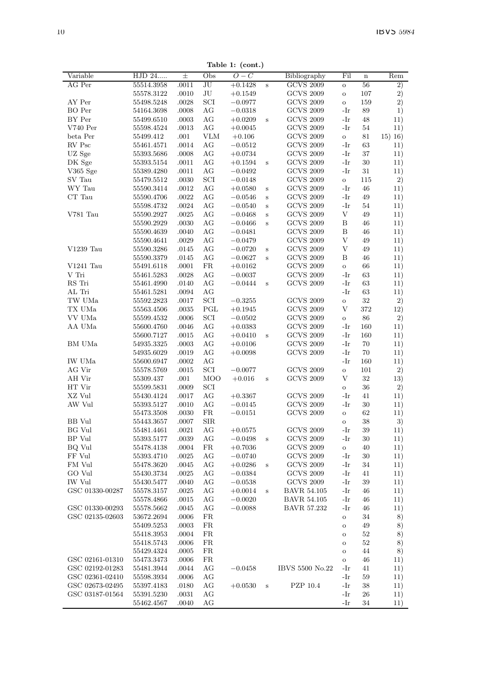Table 1: (cont.)

|                 |            |       |            | $\cdots$         |         |                    |              |             |            |
|-----------------|------------|-------|------------|------------------|---------|--------------------|--------------|-------------|------------|
| Variable        | HJD 24     | $\pm$ | Obs        | $\overline{O}-C$ |         | Bibliography       | Fil          | $\mathbf n$ | Rem        |
| AG Per          | 55514.3958 | .0011 | JU         | $+0.1428$        | S       | <b>GCVS 2009</b>   | $\circ$      | 56          | 2)         |
|                 | 55578.3122 | .0010 | JU         | $+0.1549$        |         | <b>GCVS 2009</b>   | $\circ$      | 107         | 2)         |
| AY Per          | 55498.5248 | .0028 | SCI        | $-0.0977$        |         | <b>GCVS 2009</b>   | $\circ$      | 159         | 2)         |
| <b>BO</b> Per   | 54164.3698 | .0008 | AG         | $-0.0318$        |         | <b>GCVS 2009</b>   | -Ir          | 89          | 1)         |
| BY Per          | 55499.6510 | .0003 | AG         | $+0.0209$        | S       | <b>GCVS 2009</b>   | -Ir          | 48          | 11)        |
| $V740$ Per      | 55598.4524 | .0013 | AG         | $+0.0045$        |         | <b>GCVS 2009</b>   | -Ir          | 54          | 11)        |
| beta Per        | 55499.412  | .001  | VLM        | $+0.106$         |         | <b>GCVS 2009</b>   | $\mathbf{o}$ | 81          | $(15)$ 16) |
| RV Psc          | 55461.4571 | .0014 | AG         | $-0.0512$        |         | <b>GCVS 2009</b>   | -Ir          | 63          | 11)        |
| UZ Sge          | 55393.5686 | .0008 | AG         | $+0.0734$        |         | <b>GCVS 2009</b>   | $-Ir$        | 37          | 11)        |
| DK Sge          | 55393.5154 | .0011 | AG         | $+0.1594$        | S       | <b>GCVS 2009</b>   | $-Ir$        | 30          | 11)        |
| V365 Sge        | 55389.4280 | .0011 | AG         | $-0.0492$        |         | <b>GCVS 2009</b>   | -Ir          | 31          | 11)        |
| SV Tau          | 55479.5512 | .0030 | SCI        | $-0.0148$        |         | <b>GCVS 2009</b>   | $\circ$      | 115         | 2)         |
| WY Tau          | 55590.3414 | .0012 | AG         | $+0.0580$        | S       | <b>GCVS 2009</b>   | -Ir          | 46          | 11)        |
| CT Tau          | 55590.4706 | .0022 | AG         | $-0.0546$        | S       | <b>GCVS 2009</b>   | -Ir          | 49          | 11)        |
|                 | 55598.4732 | .0024 | AG         | $-0.0540$        |         | <b>GCVS 2009</b>   | -Ir          | 54          |            |
|                 |            |       |            |                  | S       |                    | V            |             | 11)        |
| V781 Tau        | 55590.2927 | .0025 | AG         | $-0.0468$        | S       | <b>GCVS 2009</b>   |              | 49          | 11)        |
|                 | 55590.2929 | .0030 | AG         | $-0.0466$        | S       | <b>GCVS 2009</b>   | B            | 46          | 11)        |
|                 | 55590.4639 | .0040 | AG         | $-0.0481$        |         | <b>GCVS 2009</b>   | B            | 46          | 11)        |
|                 | 55590.4641 | .0029 | AG         | $-0.0479$        |         | <b>GCVS 2009</b>   | V            | 49          | 11)        |
| V1239 Tau       | 55590.3286 | .0145 | AG         | $-0.0720$        | S       | <b>GCVS 2009</b>   | V            | 49          | 11)        |
|                 | 55590.3379 | .0145 | AG         | $-0.0627$        | S       | <b>GCVS 2009</b>   | B            | 46          | 11)        |
| $V1241$ Tau     | 55491.6118 | .0001 | FR         | $+0.0162$        |         | <b>GCVS 2009</b>   | $\circ$      | 66          | 11)        |
| V Tri           | 55461.5283 | .0028 | AG         | $-0.0037$        |         | <b>GCVS 2009</b>   | -Ir          | 63          | 11)        |
| RS Tri          | 55461.4990 | .0140 | AG         | $-0.0444$        | S       | <b>GCVS 2009</b>   | -Ir          | 63          | 11)        |
| AL Tri          | 55461.5281 | .0094 | AG         |                  |         |                    | -Ir          | 63          | 11)        |
| TW UMa          | 55592.2823 | .0017 | SCI        | $-0.3255$        |         | <b>GCVS 2009</b>   | $\circ$      | 32          | 2)         |
| TX UMa          | 55563.4506 | .0035 | PGL        | $+0.1945$        |         | <b>GCVS 2009</b>   | V            | 372         | 12)        |
| VV UMa          | 55599.4532 | .0006 | SCI        | $-0.0502$        |         | <b>GCVS 2009</b>   | $\rm _O$     | 86          | 2)         |
| AA UMa          | 55600.4760 | .0046 | AG         | $+0.0383$        |         | <b>GCVS 2009</b>   | -Ir          | 160         | 11)        |
|                 | 55600.7127 | .0015 | AG         | $+0.0410$        | S       | <b>GCVS 2009</b>   | -Ir          | 160         | 11)        |
| BM UMa          | 54935.3325 | .0003 | AG         | $+0.0106$        |         | <b>GCVS 2009</b>   | -Ir          | 70          | 11)        |
|                 | 54935.6029 | .0019 | AG         | $+0.0098$        |         | <b>GCVS 2009</b>   | -Ir          | 70          | 11)        |
| IW UMa          | 55600.6947 | .0002 | AG         |                  |         |                    | -Ir          | 160         | 11)        |
| AG Vir          | 55578.5769 | .0015 | SCI        | $-0.0077$        |         | <b>GCVS 2009</b>   | $\circ$      | 101         | 2)         |
| AH Vir          | 55309.437  | .001  | MOO        | $+0.016$         | S       | <b>GCVS 2009</b>   | V            | 32          | 13)        |
| HT Vir          | 55599.5831 | .0009 | SCI        |                  |         |                    | $\circ$      | 36          | 2)         |
| XZ Vul          | 55430.4124 | .0017 | AG         | $+0.3367$        |         | <b>GCVS 2009</b>   | -Ir          | 41          | 11)        |
| AW Vul          | 55393.5127 | .0010 | AG         | $-0.0145$        |         | <b>GCVS 2009</b>   | -Ir          | 30          | 11)        |
|                 | 55473.3508 | .0030 | FR         | $-0.0151$        |         | <b>GCVS 2009</b>   |              | 62          | 11)        |
|                 |            |       |            |                  |         |                    | $\circ$      |             |            |
| BB Vul          | 55443.3657 | .0007 | <b>SIR</b> |                  |         |                    | $\circ$      | 38          | 3)         |
| <b>BG</b> Vul   | 55481.4461 | .0021 | AG         | $+0.0575$        |         | <b>GCVS 2009</b>   | -Ir          | 39          | 11)        |
| BP Vul          | 55393.5177 | .0039 | AG         | $-0.0498$        | S       | <b>GCVS 2009</b>   | -Ir          | 30          | 11)        |
| BQ Vul          | 55478.4138 | .0004 | FR.        | $+0.7036$        |         | <b>GCVS 2009</b>   | $\circ$      | 40          | 11)        |
| FF Vul          | 55393.4710 | .0025 | AG         | $-0.0740$        |         | <b>GCVS 2009</b>   | -Ir          | 30          | 11)        |
| FM Vul          | 55478.3620 | .0045 | AG         | $+0.0286$        | S       | <b>GCVS 2009</b>   | -Ir          | 34          | 11)        |
| GO Vul          | 55430.3734 | .0025 | AG         | $-0.0384$        |         | <b>GCVS 2009</b>   | -Ir          | 41          | 11)        |
| <b>IW Vul</b>   | 55430.5477 | .0040 | AG         | $-0.0538$        |         | <b>GCVS 2009</b>   | $-Ir$        | 39          | 11)        |
| GSC 01330-00287 | 55578.3157 | .0025 | AG         | $+0.0014$        | $\rm s$ | <b>BAVR 54.105</b> | -Ir          | 46          | 11)        |
|                 | 55578.4866 | .0015 | AG         | $-0.0020$        |         | <b>BAVR 54.105</b> | -Ir          | 46          | 11)        |
| GSC 01330-00293 | 55578.5662 | .0045 | AG         | $-0.0088$        |         | <b>BAVR 57.232</b> | -Ir          | 46          | 11)        |
| GSC 02135-02603 | 53672.2694 | .0006 | FR.        |                  |         |                    | $\circ$      | 34          | 8)         |
|                 | 55409.5253 | .0003 | FR.        |                  |         |                    | $\circ$      | 49          | 8)         |
|                 | 55418.3953 | .0004 | FR.        |                  |         |                    | $\circ$      | 52          | 8)         |
|                 | 55418.5743 | .0006 | FR.        |                  |         |                    | $\circ$      | 52          | 8)         |
|                 | 55429.4324 | .0005 | <b>FR</b>  |                  |         |                    | $\circ$      | 44          | 8)         |
| GSC 02161-01310 | 55473.3473 | .0006 | FR         |                  |         |                    | $\circ$      | 46          | 11)        |
| GSC 02192-01283 | 55481.3944 | .0044 | AG         | $-0.0458$        |         | IBVS 5500 No.22    | $-Ir$        | 41          | 11)        |
| GSC 02361-02410 | 55598.3934 | .0006 | AG         |                  |         |                    | -Ir          | 59          | 11)        |
| GSC 02673-02495 | 55397.4183 | .0180 | AG         | $+0.0530$        | $\bf s$ | PZP 10.4           | -Ir          | 38          | 11)        |
| GSC 03187-01564 | 55391.5230 | .0031 | AG         |                  |         |                    | -Ir          | 26          | 11)        |
|                 | 55462.4567 | .0040 | AG         |                  |         |                    | -Ir          | 34          | 11)        |
|                 |            |       |            |                  |         |                    |              |             |            |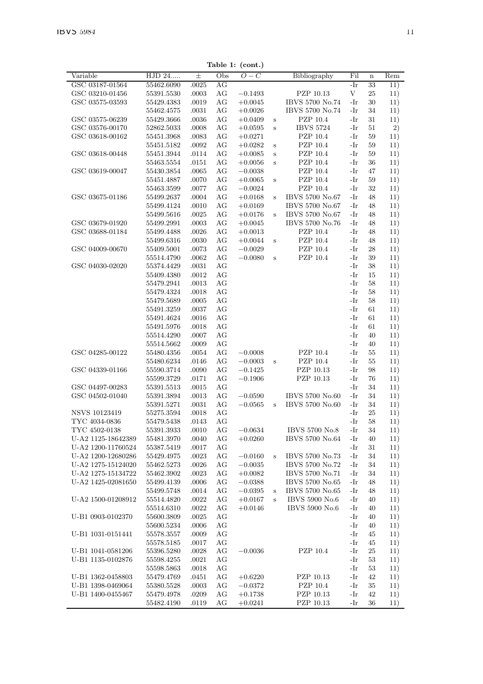| Variable           | $\overline{\mathrm{HJD}}$ 24 | 士         | Obs       | $O-C$     |   | Bibliography     | Fil        | $\mathbf n$ | Rem |
|--------------------|------------------------------|-----------|-----------|-----------|---|------------------|------------|-------------|-----|
| GSC 03187-01564    | 55462.6090                   | .0025     | AG        |           |   |                  | -Ir        | 33          | 11) |
| GSC 03210-01456    | 55391.5530                   | .0003     | AG        | $-0.1493$ |   | PZP 10.13        | $_{\rm V}$ | 25          | 11) |
| GSC 03575-03593    | 55429.4383                   | .0019     | AG        | $+0.0045$ |   | IBVS 5700 No.74  | $-Ir$      | 30          | 11) |
|                    | 55462.4575                   | .0031     | AG        |           |   | IBVS 5700 No.74  | -Ir        | 34          |     |
|                    |                              |           |           | $+0.0026$ |   |                  |            |             | 11) |
| GSC 03575-06239    | 55429.3666                   | .0036     | AG        | $+0.0409$ | S | PZP 10.4         | -Ir        | 31          | 11) |
| GSC 03576-00170    | 52862.5033                   | .0008     | AG        | $+0.0595$ | S | <b>IBVS 5724</b> | -Ir        | 51          | 2)  |
| GSC 03618-00162    | 55451.3968                   | .0083     | AG        | $+0.0271$ |   | PZP 10.4         | -Ir        | 59          | 11) |
|                    | 55451.5182                   | $.0092\,$ | AG        | $+0.0282$ | S | PZP 10.4         | $-Ir$      | 59          | 11) |
| GSC 03618-00448    | 55451.3944                   | .0114     | AG        | $+0.0085$ | S | PZP 10.4         | -Ir        | 59          | 11) |
|                    | 55463.5554                   | .0151     | AG        | $+0.0056$ | Ś | PZP 10.4         | -Ir        | 36          | 11) |
| GSC 03619-00047    | 55430.3854                   | .0065     | AG        | $-0.0038$ |   | PZP 10.4         | -Ir        | 47          | 11) |
|                    | 55451.4887                   | .0070     | AG        | $+0.0065$ | S | PZP 10.4         | -Ir        | 59          | 11) |
|                    | 55463.3599                   | .0077     | AG        | $-0.0024$ |   | PZP 10.4         | $-Ir$      | 32          | 11) |
| GSC 03675-01186    | 55499.2637                   | .0004     | AG        | $+0.0168$ | S | IBVS 5700 No.67  | -Ir        | 48          | 11) |
|                    | 55499.4124                   | .0010     | AG        | $+0.0169$ |   | IBVS 5700 No.67  | -Ir        | 48          | 11) |
|                    | 55499.5616                   | .0025     | AG        | $+0.0176$ | Š | IBVS 5700 No.67  | -Ir        | 48          | 11) |
| GSC 03679-01920    | 55499.2991                   | .0003     | AG        | $+0.0045$ |   | IBVS 5700 No.76  | -Ir        | 48          | 11) |
| GSC 03688-01184    | 55499.4488                   | .0026     | AG        | $+0.0013$ |   | PZP 10.4         | -Ir        | 48          | 11) |
|                    | 55499.6316                   | .0030     | AG        | $+0.0044$ | S | PZP 10.4         | -Ir        | 48          | 11) |
| GSC 04009-00670    | 55409.5001                   | .0073     | AG        | $-0.0029$ |   | PZP 10.4         | -Ir        | 28          | 11) |
|                    | 55514.4790                   | .0062     | AG        | $-0.0080$ | S | PZP 10.4         | -Ir        | 39          | 11) |
| GSC 04030-02020    | 55374.4429                   | .0031     | AG        |           |   |                  | -Ir        | 38          | 11) |
|                    | 55409.4380                   | .0012     | AG        |           |   |                  | $-Ir$      | 15          | 11) |
|                    | 55479.2941                   | .0013     | AG        |           |   |                  | $-Ir$      | 58          | 11) |
|                    |                              |           |           |           |   |                  | -Ir        | 58          |     |
|                    | 55479.4324                   | .0018     | AG        |           |   |                  |            |             | 11) |
|                    | 55479.5689                   | .0005     | AG        |           |   |                  | -Ir        | 58          | 11) |
|                    | 55491.3259                   | .0037     | AG        |           |   |                  | -Ir        | 61          | 11) |
|                    | 55491.4624                   | .0016     | AG        |           |   |                  | $-Ir$      | 61          | 11) |
|                    | 55491.5976                   | .0018     | AG        |           |   |                  | -Ir        | 61          | 11) |
|                    | 55514.4290                   | .0007     | AG        |           |   |                  | -Ir        | 40          | 11) |
|                    | 55514.5662                   | .0009     | AG        |           |   |                  | -Ir        | 40          | 11) |
| GSC 04285-00122    | 55480.4356                   | .0054     | AG        | $-0.0008$ |   | PZP 10.4         | -Ir        | 55          | 11) |
|                    | 55480.6234                   | .0146     | AG        | $-0.0003$ | S | PZP 10.4         | -Ir        | 55          | 11) |
| GSC 04339-01166    | 55590.3714                   | .0090     | AG        | $-0.1425$ |   | PZP 10.13        | -Ir        | 98          | 11) |
|                    | 55599.3729                   | .0171     | $\rm{AG}$ | $-0.1906$ |   | PZP 10.13        | -Ir        | 76          | 11) |
| GSC 04497-00283    | 55391.5513                   | .0015     | AG        |           |   |                  | -Ir        | 34          | 11) |
| GSC 04502-01040    | 55391.3894                   | .0013     | AG        | $-0.0590$ |   | IBVS 5700 No.60  | -Ir        | 34          | 11) |
|                    | 55391.5271                   | .0031     | AG        | $-0.0565$ | s | IBVS 5700 No.60  | -Ir        | 34          | 11) |
| NSVS 10123419      | 55275.3594                   | .0018     | AG        |           |   |                  | -Ir        | 25          | 11) |
| TYC 4034-0836      | 55479.5438                   | .0143     | AG        |           |   |                  | $-Ir$      | 58          | 11) |
| TYC 4502-0138      | 55391.3933                   | .0010     | AG        | $-0.0634$ |   | IBVS 5700 No.8   | -Ir        | 34          | 11) |
| U-A2 1125-18642389 | 55481.3970                   | .0040     | AG        | $+0.0260$ |   | IBVS 5700 No.64  | -Ir        | 40          | 11) |
| U-A2 1200-11760524 | 55387.5419                   | .0017     | AG        |           |   |                  | -Ir        | 31          | 11) |
| U-A2 1200-12680286 | 55429.4975                   | .0023     | AG        | $-0.0160$ | S | IBVS 5700 No.73  | -Ir        | 34          | 11) |
| U-A2 1275-15124020 | 55462.5273                   | .0026     | $\rm{AG}$ | $-0.0035$ |   | IBVS 5700 No.72  | $-Ir$      | 34          | 11) |
| U-A2 1275-15134722 | 55462.3902                   | .0023     | AG        | $+0.0082$ |   | IBVS 5700 No.71  | -Ir        | 34          | 11) |
|                    |                              |           |           |           |   | IBVS 5700 No.65  | -Ir        |             |     |
| U-A2 1425-02081650 | 55499.4139                   | .0006     | AG        | $-0.0388$ |   |                  |            | 48          | 11) |
|                    | 55499.5748                   | .0014     | AG        | $-0.0395$ | S | IBVS 5700 No.65  | -Ir        | 48          | 11) |
| U-A2 1500-01208912 | 55514.4820                   | .0022     | AG        | $+0.0167$ | S | IBVS 5900 No.6   | -Ir        | 40          | 11) |
|                    | 55514.6310                   | .0022     | AG        | $+0.0146$ |   | IBVS 5900 No.6   | -Ir        | 40          | 11) |
| U-B1 0903-0102370  | 55600.3809                   | .0025     | AG        |           |   |                  | -Ir        | 40          | 11) |
|                    | 55600.5234                   | .0006     | AG        |           |   |                  | -Ir        | 40          | 11) |
| U-B1 1031-0151441  | 55578.3557                   | .0009     | AG        |           |   |                  | -Ir        | 45          | 11) |
|                    | 55578.5185                   | .0017     | AG        |           |   |                  | -Ir        | 45          | 11) |
| U-B1 1041-0581206  | 55396.5280                   | .0028     | AG        | $-0.0036$ |   | PZP 10.4         | $-Ir$      | 25          | 11) |
| U-B1 1135-0102876  | 55598.4255                   | .0021     | AG        |           |   |                  | -Ir        | 53          | 11) |
|                    | 55598.5863                   | .0018     | AG        |           |   |                  | -Ir        | 53          | 11) |
| U-B1 1362-0458803  | 55479.4769                   | .0451     | AG        | $+0.6220$ |   | PZP 10.13        | -Ir        | 42          | 11) |
| U-B1 1398-0469064  | 55380.5528                   | .0003     | AG        | $-0.0372$ |   | PZP 10.4         | -Ir        | 35          | 11) |
| U-B1 1400-0455467  | 55479.4978                   | .0209     | AG        | $+0.1738$ |   | PZP 10.13        | -Ir        | 42          | 11) |
|                    | 55482.4190                   | .0119     | AG        | $+0.0241$ |   | PZP 10.13        | -Ir        | 36          | 11) |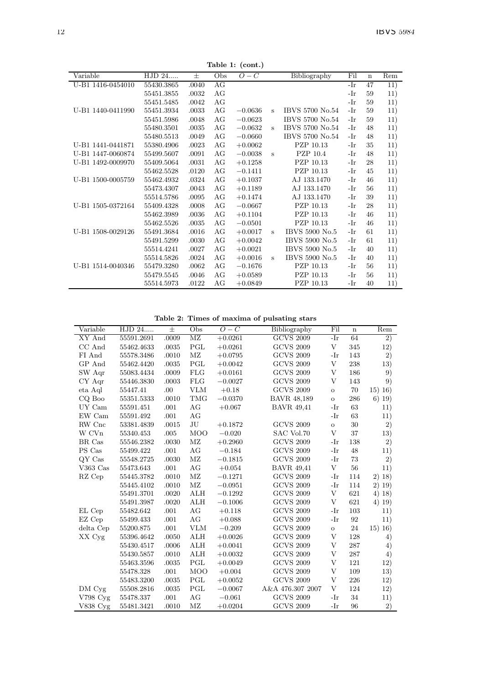Table 1: (cont.)

|                   |            |       |     | rapie 1. $($ COII $\cdot$ ) |              |                 |     |             |     |
|-------------------|------------|-------|-----|-----------------------------|--------------|-----------------|-----|-------------|-----|
| Variable          | HJD 24     | $\pm$ | Obs | $O-C$                       |              | Bibliography    | Fil | $\mathbf n$ | Rem |
| U-B1 1416-0454010 | 55430.3865 | .0040 | AG  |                             |              |                 | -Ir | 47          | 11) |
|                   | 55451.3855 | .0032 | AG  |                             |              |                 | -Ir | 59          | 11) |
|                   | 55451.5485 | .0042 | AG  |                             |              |                 | -Ir | 59          | 11) |
| U-B1 1440-0411990 | 55451.3934 | .0033 | AG  | $-0.0636$                   | s            | IBVS 5700 No.54 | -Ir | 59          | 11) |
|                   | 55451.5986 | .0048 | AG  | $-0.0623$                   |              | IBVS 5700 No.54 | -Ir | 59          | 11) |
|                   | 55480.3501 | .0035 | AG  | $-0.0632$                   | $\mathbf{s}$ | IBVS 5700 No.54 | -Ir | 48          | 11) |
|                   | 55480.5513 | .0049 | AG  | $-0.0660$                   |              | IBVS 5700 No.54 | -Ir | 48          | 11) |
| U-B1 1441-0441871 | 55380.4906 | .0023 | AG  | $+0.0062$                   |              | PZP 10.13       | -Ir | 35          | 11) |
| U-B1 1447-0060874 | 55499.5607 | .0091 | AG  | $-0.0038$                   | s            | PZP 10.4        | -Ir | 48          | 11) |
| U-B1 1492-0009970 | 55409.5064 | .0031 | AG  | $+0.1258$                   |              | PZP 10.13       | -Ir | 28          | 11) |
|                   | 55462.5528 | .0120 | AG  | $-0.1411$                   |              | PZP 10.13       | -Ir | 45          | 11) |
| U-B1 1500-0005759 | 55462.4932 | .0324 | AG  | $+0.1037$                   |              | AJ 133.1470     | -Ir | 46          | 11) |
|                   | 55473.4307 | .0043 | AG  | $+0.1189$                   |              | AJ 133.1470     | -Ir | 56          | 11) |
|                   | 55514.5786 | .0095 | AG  | $+0.1474$                   |              | AJ 133.1470     | -Ir | 39          | 11) |
| U-B1 1505-0372164 | 55409.4328 | .0008 | AG  | $-0.0667$                   |              | PZP 10.13       | -Ir | 28          | 11) |
|                   | 55462.3989 | .0036 | AG  | $+0.1104$                   |              | PZP 10.13       | -Ir | 46          | 11) |
|                   | 55462.5526 | .0035 | AG  | $-0.0501$                   |              | PZP 10.13       | -Ir | 46          | 11) |
| U-B1 1508-0029126 | 55491.3684 | .0016 | AG  | $+0.0017$                   | s            | IBVS 5900 No.5  | -Ir | 61          | 11) |
|                   | 55491.5299 | .0030 | AG  | $+0.0042$                   |              | IBVS 5900 No.5  | -Ir | 61          | 11) |
|                   | 55514.4241 | .0027 | AG  | $+0.0021$                   |              | IBVS 5900 No.5  | -Ir | 40          | 11) |
|                   | 55514.5826 | .0024 | AG  | $+0.0016$                   | s            | IBVS 5900 No.5  | -Ir | 40          | 11) |
| U-B1 1514-0040346 | 55479.3280 | .0062 | AG  | $-0.1676$                   |              | PZP 10.13       | -Ir | 56          | 11) |
|                   | 55479.5545 | .0046 | AG  | $+0.0589$                   |              | PZP 10.13       | -Ir | 56          | 11) |
|                   | 55514.5973 | .0122 | AG  | $+0.0849$                   |              | PZP 10.13       | -Ir | 40          | 11) |

Table 2: Times of maxima of pulsating stars

| Variable   | HJD 24     | $\pm$ | Obs                    | $O - C$   | Bibliography       | Fil          | $\mathbf n$ | Rem      |
|------------|------------|-------|------------------------|-----------|--------------------|--------------|-------------|----------|
| XY And     | 55591.2691 | .0009 | $\overline{\text{MZ}}$ | $+0.0261$ | <b>GCVS 2009</b>   | $-Ir$        | 64          | 2)       |
| CC And     | 55462.4633 | .0035 | PGL                    | $+0.0261$ | <b>GCVS 2009</b>   | V            | 345         | 12)      |
| FI And     | 55578.3486 | .0010 | $\rm MZ$               | $+0.0795$ | <b>GCVS 2009</b>   | -Ir          | 143         | 2)       |
| GP And     | 55462.4420 | .0035 | PGL                    | $+0.0042$ | <b>GCVS 2009</b>   | V            | 238         | 13)      |
| SW Aqr     | 55083.4434 | .0009 | FLG                    | $+0.0161$ | <b>GCVS 2009</b>   | V            | 186         | 9)       |
| CY Aqr     | 55446.3830 | .0003 | FLG                    | $-0.0027$ | <b>GCVS 2009</b>   | V            | 143         | 9)       |
| eta Aql    | 55447.41   | .00   | <b>VLM</b>             | $+0.18$   | <b>GCVS 2009</b>   | $\mathbf{o}$ | 70          | 15) 16)  |
| CQ Boo     | 55351.5333 | .0010 | TMG                    | $-0.0370$ | <b>BAVR 48,189</b> | $\mathbf{o}$ | 286         | $6)$ 19) |
| UY Cam     | 55591.451  | .001  | AG                     | $+0.067$  | <b>BAVR 49.41</b>  | -Ir          | 63          | 11)      |
| EW Cam     | 55591.492  | .001  | AG                     |           |                    | -Ir          | 63          | 11)      |
| RW Cnc     | 53381.4839 | .0015 | JU                     | $+0.1872$ | <b>GCVS 2009</b>   | $\mathbf{o}$ | 30          | 2)       |
| W CVn      | 55340.453  | .005  | <b>MOO</b>             | $-0.020$  | SAC Vol.70         | V            | 37          | 13)      |
| BR Cas     | 55546.2382 | .0030 | MZ                     | $+0.2960$ | <b>GCVS 2009</b>   | -Ir          | 138         | 2)       |
| PS Cas     | 55499.422  | .001  | AG                     | $-0.184$  | <b>GCVS 2009</b>   | -Ir          | 48          | 11)      |
| QY Cas     | 55548.2725 | .0030 | $\rm MZ$               | $-0.1815$ | <b>GCVS 2009</b>   | $-Ir$        | 73          | 2)       |
| V363 Cas   | 55473.643  | .001  | AG                     | $+0.054$  | <b>BAVR 49.41</b>  | V            | 56          | 11)      |
| RZ Cep     | 55445.3782 | .0010 | $\rm MZ$               | $-0.1271$ | <b>GCVS 2009</b>   | -Ir          | 114         | 2) 18)   |
|            | 55445.4102 | .0010 | $\rm MZ$               | $-0.0951$ | <b>GCVS 2009</b>   | -Ir          | 114         | 2) 19)   |
|            | 55491.3701 | .0020 | ALH                    | $-0.1292$ | <b>GCVS 2009</b>   | V            | 621         | 4) 18)   |
|            | 55491.3987 | .0020 | ALH                    | $-0.1006$ | <b>GCVS 2009</b>   | V            | 621         | 4) 19)   |
| EL Cep     | 55482.642  | .001  | AG                     | $+0.118$  | <b>GCVS 2009</b>   | -Ir          | 103         | 11)      |
| EZ Cep     | 55499.433  | .001  | AG                     | $+0.088$  | <b>GCVS 2009</b>   | -Ir          | 92          | 11)      |
| delta Cep  | 55200.875  | .001  | <b>VLM</b>             | $-0.209$  | <b>GCVS 2009</b>   | $\circ$      | 24          | 15) 16)  |
| XX Cyg     | 55396.4642 | .0050 | ALH                    | $+0.0026$ | <b>GCVS 2009</b>   | V            | 128         | 4)       |
|            | 55430.4517 | .0006 | ALH                    | $+0.0041$ | <b>GCVS 2009</b>   | V            | 287         | 4)       |
|            | 55430.5857 | .0010 | ALH                    | $+0.0032$ | <b>GCVS 2009</b>   | V            | 287         | 4)       |
|            | 55463.3596 | .0035 | PGL                    | $+0.0049$ | <b>GCVS 2009</b>   | V            | 121         | 12)      |
|            | 55478.328  | .001  | <b>MOO</b>             | $+0.004$  | <b>GCVS 2009</b>   | V            | 109         | 13)      |
|            | 55483.3200 | .0035 | PGL                    | $+0.0052$ | <b>GCVS 2009</b>   | V            | 226         | 12)      |
| DM Cyg     | 55508.2816 | .0035 | PGL                    | $-0.0067$ | A&A 476.307 2007   | V            | 124         | 12)      |
| $V798$ Cyg | 55478.337  | .001  | AG                     | $-0.061$  | <b>GCVS 2009</b>   | -Ir          | 34          | 11)      |
| V838 Cvg   | 55481.3421 | .0010 | MZ                     | $+0.0204$ | <b>GCVS 2009</b>   | $-Ir$        | 96          | 2)       |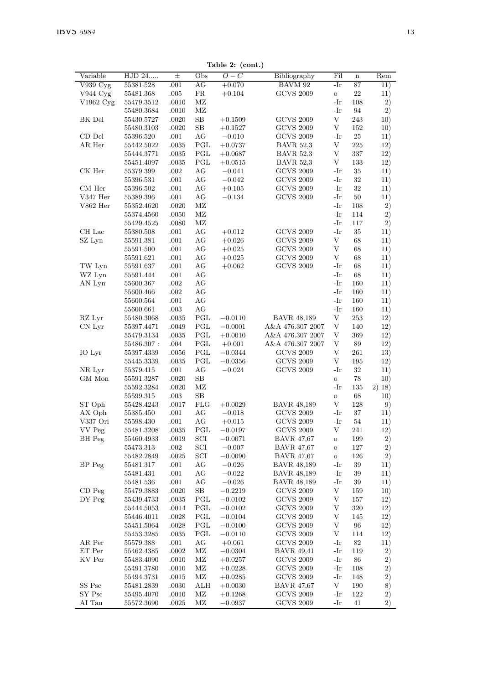Table 2: (cont.)

| Variable   | $\overline{\mathrm{HJD}}$ 24 | $\pm$ | Obs          | rapie 2. (com.)<br>$O-C$ | Bibliography       | Fil         | $\mathbf n$ | Rem    |
|------------|------------------------------|-------|--------------|--------------------------|--------------------|-------------|-------------|--------|
| V939 Cyg   | 55381.528                    | .001  | AG           | $+0.070$                 | BAVM 92            | -Ir         | 87          | 11)    |
| V944 Cyg   | 55481.368                    | .005  | $_{\rm FR}$  | $+0.104$                 | <b>GCVS 2009</b>   | $\rm _O$    | $22\,$      | 11)    |
| V1962 Cyg  | 55479.3512                   | .0010 | MZ           |                          |                    | -Ir         | 108         | 2)     |
|            | 55480.3684                   | .0010 | MZ           |                          |                    | -Ir         | 94          | 2)     |
| BK Del     | 55430.5727                   | .0020 | $_{\rm SB}$  | $+0.1509$                | <b>GCVS 2009</b>   | $\mathbf V$ | 243         | 10)    |
|            | 55480.3103                   | .0020 | $_{\rm SB}$  | $+0.1527$                | <b>GCVS 2009</b>   | V           | 152         | 10)    |
| CD Del     | 55396.520                    | .001  | AG           | $-0.010$                 | <b>GCVS 2009</b>   | -Ir         | 25          | 11)    |
| AR Her     | 55442.5022                   | .0035 | PGL          | $+0.0737$                | <b>BAVR 52.3</b>   | V           | 225         | 12)    |
|            | 55444.3771                   | .0035 | PGL          | $+0.0687$                | <b>BAVR 52,3</b>   | V           | 337         | 12)    |
|            | 55451.4097                   | .0035 | PGL          | $+0.0515$                | <b>BAVR 52.3</b>   | V           | 133         | 12)    |
| CK Her     | 55379.399                    | .002  | AG           | $-0.041$                 | GCVS 2009          | -Ir         | 35          | 11)    |
|            | 55396.531                    | .001  | AG           | $-0.042$                 | <b>GCVS 2009</b>   | $-Ir$       | 32          | 11)    |
| CM Her     | 55396.502                    | .001  | AG           | $+0.105$                 | <b>GCVS 2009</b>   | $-Ir$       | 32          | 11)    |
| V347 Her   | 55389.396                    | .001  | AG           | $-0.134$                 | <b>GCVS 2009</b>   | $-Ir$       | 50          | 11)    |
| $V862$ Her | 55352.4620                   | .0020 | MZ           |                          |                    | $-Ir$       | 108         | 2)     |
|            | 55374.4560                   | .0050 | MZ           |                          |                    | -Ir         | 114         | 2)     |
|            | 55429.4525                   | .0080 | МZ           |                          |                    | -Ir         | 117         | 2)     |
| CH Lac     | 55380.508                    | .001  | AG           | $+0.012$                 | <b>GCVS 2009</b>   | -Ir         | 35          | 11)    |
| SZ Lyn     | 55591.381                    | .001  | AG           | $+0.026$                 | <b>GCVS 2009</b>   | V           | 68          | 11)    |
|            | 55591.500                    | .001  | AG           | $+0.025$                 | <b>GCVS 2009</b>   | V           | 68          | 11)    |
|            | 55591.621                    | .001  | AG           | $+0.025$                 | <b>GCVS 2009</b>   | V           | 68          | 11)    |
| TW Lyn     | 55591.637                    | .001  | AG           | $+0.062$                 | <b>GCVS 2009</b>   | -Ir         | 68          | 11)    |
| WZ Lyn     | 55591.444                    | .001  | АG           |                          |                    | -Ir         | 68          | 11)    |
| AN Lyn     | 55600.367                    | .002  | AG           |                          |                    | -Ir         | 160         | 11)    |
|            | 55600.466                    | .002  | AG           |                          |                    | $-Ir$       | 160         | 11)    |
|            | 55600.564                    | .001  | AG           |                          |                    | $-Ir$       | 160         | 11)    |
|            | 55600.661                    | .003  | AG           |                          |                    | -Ir         | 160         | 11)    |
| RZ Lyr     | 55480.3068                   | .0035 | PGL          | $-0.0110$                | <b>BAVR 48,189</b> | V           | 253         | 12)    |
| CN Lyr     | 55397.4471                   | .0049 | PGL          | $-0.0001$                | A&A 476.307 2007   | V           | 140         | 12)    |
|            | 55479.3134                   | .0035 | PGL          | $+0.0010$                | A&A 476.307 2007   | V           | 369         | 12)    |
|            | 55486.307:                   | .004  | PGL          | $+0.001$                 | A&A 476.307 2007   | V           | 89          | 12)    |
| IO Lyr     | 55397.4339                   | .0056 | PGL          | $-0.0344$                | <b>GCVS 2009</b>   | V           | 261         | 13)    |
|            | 55445.3339                   | .0035 | PGL          | $-0.0356$                | <b>GCVS 2009</b>   | V           | 195         | 12)    |
| NR Lyr     | 55379.415                    | .001  | AG           | $-0.024$                 | <b>GCVS 2009</b>   | $-Ir$       | 32          | 11)    |
| GM Mon     | 55591.3287                   | .0020 | $_{\rm SB}$  |                          |                    | $\rm _O$    | 78          | 10)    |
|            | 55592.3284                   | .0020 | МZ           |                          |                    | -Ir         | 135         | 2) 18) |
|            | 55599.315                    | .003  | SВ           |                          |                    | $\circ$     | 68          | 10)    |
| ST Oph     | 55428.4243                   | .0017 | <b>FLG</b>   | $+0.0029$                | <b>BAVR 48,189</b> | V           | 128         | 9)     |
| AX Oph     | 55385.450                    | .001  | AG           | $-0.018$                 | <b>GCVS 2009</b>   | $-Ir$       | 37          | 11)    |
| V337 Ori   | 55598.430                    | .001  | AG           | $+0.015$                 | <b>GCVS 2009</b>   | -Ir         | 54          | 11)    |
| VV Peg     | 55481.3208                   | .0035 | PGL          | $-0.0197$                | <b>GCVS 2009</b>   | V           | 241         | 12)    |
| BH Peg     | 55460.4933                   | .0019 | SCI          | $-0.0071$                | <b>BAVR 47,67</b>  | $\circ$     | 199         | 2)     |
|            | 55473.313                    | .002  | SCI          | $-0.007$                 | <b>BAVR 47,67</b>  | $\rm _O$    | 127         | 2)     |
|            | 55482.2849                   | .0025 | SCI          | $-0.0090$                | <b>BAVR 47,67</b>  | $\rm _O$    | 126         | 2)     |
| BP Peg     | 55481.317                    | .001  | AG           | $-0.026$                 | <b>BAVR 48,189</b> | -Ir         | 39          | 11)    |
|            | 55481.431                    | .001  | AG           | $-0.022$                 | BAVR 48.189        | -Ir         | 39          | 11)    |
|            | 55481.536                    | .001  | AG           | $-0.026$                 | <b>BAVR 48.189</b> | -Ir         | 39          | 11)    |
| $CD$ Peg   | 55479.3883                   | .0020 | $_{\rm SB}$  | $-0.2219$                | <b>GCVS 2009</b>   | V           | 159         | 10)    |
| DY Peg     | 55439.4733                   | .0035 | PGL          | $-0.0102$                | <b>GCVS 2009</b>   | V           | 157         | 12)    |
|            | 55444.5053                   | .0014 | $_{\rm PGL}$ | $-0.0102$                | <b>GCVS 2009</b>   | V           | 320         | 12)    |
|            | 55446.4011                   | .0028 | PGL          | $-0.0104$                | <b>GCVS 2009</b>   | V           | 145         | 12)    |
|            | 55451.5064                   | .0028 | PGL          | $-0.0100$                | <b>GCVS 2009</b>   | V           | 96          | 12)    |
|            | 55453.3285                   | .0035 | PGL          | $-0.0110$                | <b>GCVS 2009</b>   | V           | 114         | 12)    |
| AR Per     | 55579.388                    | .001  | AG           | $+0.061$                 | <b>GCVS 2009</b>   | -Ir         | 82          | 11)    |
| ET Per     | 55462.4385                   | .0002 | MZ           | $-0.0304$                | <b>BAVR</b> 49,41  | -Ir         | 119         | 2)     |
| KV Per     | 55483.4090                   | .0010 | MZ           | $+0.0257$                | <b>GCVS 2009</b>   | -Ir         | 86          | 2)     |
|            | 55491.3780                   | .0010 | MZ           | $+0.0228$                | <b>GCVS 2009</b>   | $-Ir$       | 108         | 2)     |
|            | 55494.3731                   | .0015 | МZ           | $+0.0285$                | <b>GCVS 2009</b>   | -Ir         | 148         | 2)     |
| SS Psc     | 55481.2839                   | .0030 | ALH          | $+0.0030$                | <b>BAVR 47.67</b>  | V           | 190         | 8)     |
| SY Psc     | 55495.4070                   | .0010 | ΜZ           | $+0.1268$                | <b>GCVS 2009</b>   | -Ir         | 122         | 2)     |
| AI Tau     | 55572.3690                   | .0025 | МZ           | $-0.0937$                | <b>GCVS 2009</b>   | -Ir         | 41          | 2)     |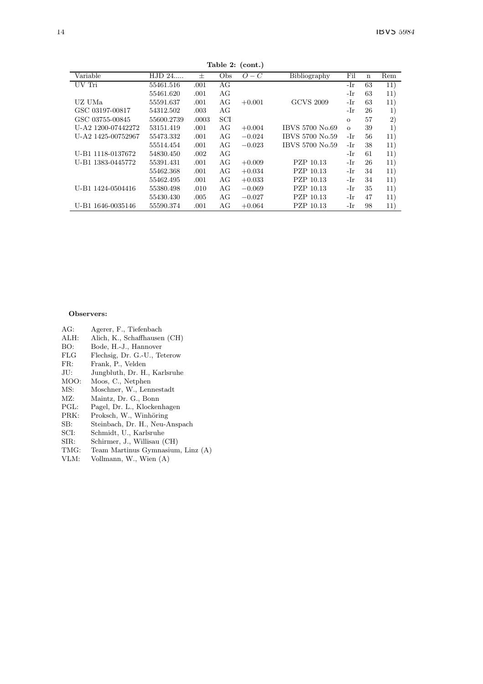|                    |            |        |     | $\epsilon$ |                  |          |    |         |
|--------------------|------------|--------|-----|------------|------------------|----------|----|---------|
| Variable           | HJD 24     | $^{+}$ | Obs | $O - C$    | Bibliography     | Fil      | n  | Rem     |
| UV Tri             | 55461.516  | .001   | AG  |            |                  | -Ir      | 63 | 11)     |
|                    | 55461.620  | .001   | AG  |            |                  | -Ir      | 63 | 11)     |
| UZ UMa             | 55591.637  | .001   | AG  | $+0.001$   | <b>GCVS 2009</b> | -Ir      | 63 | 11)     |
| GSC 03197-00817    | 54312.502  | .003   | AG  |            |                  | -Ir      | 26 | $_{1)}$ |
| GSC 03755-00845    | 55600.2739 | .0003  | SCI |            |                  | $\Omega$ | 57 | $^{2)}$ |
| U-A2 1200-07442272 | 53151.419  | .001   | AG  | $+0.004$   | IBVS 5700 No.69  | $\Omega$ | 39 | $_{1}$  |
| U-A2 1425-00752967 | 55473.332  | .001   | AG  | $-0.024$   | IBVS 5700 No.59  | -Ir      | 56 | 11)     |
|                    | 55514.454  | .001   | AG  | $-0.023$   | IBVS 5700 No.59  | -Ir      | 38 | 11)     |
| U-B1 1118-0137672  | 54830.450  | .002   | AG  |            |                  | -Ir      | 61 | 11)     |
| U-B1 1383-0445772  | 55391.431  | .001   | AG  | $+0.009$   | PZP 10.13        | -Ir      | 26 | 11)     |
|                    | 55462.368  | .001   | AG  | $+0.034$   | PZP 10.13        | -Ir      | 34 | 11)     |
|                    | 55462.495  | .001   | AG  | $+0.033$   | PZP 10.13        | -Ir      | 34 | 11)     |
| U-B1 1424-0504416  | 55380.498  | .010   | AG  | $-0.069$   | PZP 10.13        | -Ir      | 35 | 11)     |
|                    | 55430.430  | .005   | AG  | $-0.027$   | PZP 10.13        | -Ir      | 47 | 11)     |
| U-B1 1646-0035146  | 55590.374  | .001   | AG  | $+0.064$   | PZP 10.13        | -Ir      | 98 | 11)     |

Table 2: (cont.)

#### Observers:

- AG: Agerer, F., Tiefenbach<br>ALH: Alich, K., Schaffhauser
- ALH: Alich, K., Schaffhausen (CH)<br>BO: Bode, H.-J., Hannover
- BO: Bode, H.-J., Hannover<br>FLG Flechsig, Dr. G.-U., Te
- FLG Flechsig, Dr. G.-U., Teterow<br>FR: Frank, P., Velden
- FR: Frank, P., Velden<br>JU: Jungbluth, Dr. H.
- Jungbluth, Dr. H., Karlsruhe
- MOO: Moos, C., Netphen<br>MS: Moschner, W., Lenr
- MS: Moschner, W., Lennestadt<br>MZ: Maintz, Dr. G., Bonn
- MZ: Maintz, Dr. G., Bonn<br>PGL: Pagel. Dr. L., Klocken
- PGL: Pagel, Dr. L., Klockenhagen<br>PRK: Proksch, W., Winhöring
- 
- 
- 
- SIR: Schirmer, J., Willisau (CH)<br>TMG: Team Martinus Gymnasium
- 
- 
- SB: Steinbach, Dr. H., Neu-Anspach<br>SCI: Schmidt, U., Karlsruhe
- SCI: Schmidt, U., Karlsruhe<br>SIR: Schirmer, J., Willisau (
- 
- TMG: Team Martinus Gymnasium, Linz (A)
- Vollmann, W., Wien (A)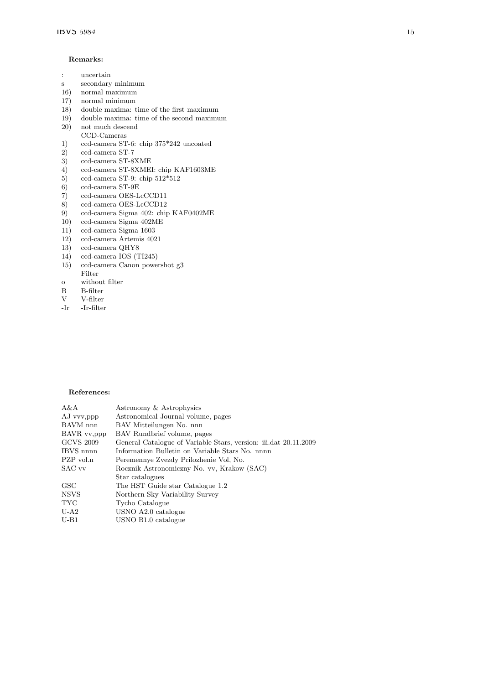#### Remarks:

- : uncertain
- s secondary minimum
- 16) normal maximum 17) normal minimum
- 
- 18) double maxima: time of the first maximum
- 19) double maxima: time of the second maximum  $(20)$  not much descend
- $\,$  not much descend CCD-Cameras
- 1) ccd-camera ST-6: chip 375\*242 uncoated
- 2) ccd-camera ST-7
- 3) ccd-camera ST-8XME<br>4) ccd-camera ST-8XMEI
- 4) ccd-camera ST-8XMEI: chip KAF1603ME<br>5) ccd-camera ST-9: chip 512\*512
- 5) ccd-camera ST-9: chip  $512*512$ <br>6) ccd-camera ST-9E
- 6) ccd-camera ST-9E
- 7) ccd-camera OES-LcCCD11<br>8) ccd-camera OES-LcCCD12
- 8) ccd-camera OES-LcCCD12<br>9) ccd-camera Sigma 402: chir
- 9) ccd-camera Sigma 402: chip KAF0402ME<br>10) ccd-camera Sigma 402ME
- $10)$  ccd-camera Sigma  $402ME$ <br> $11)$  ccd-camera Sigma 1603
- 11) ccd-camera Sigma 1603<br>12) ccd-camera Artemis 402
- 12) ccd-camera Artemis 4021<br>13) ccd-camera QHY8
- 13) ccd-camera QHY8<br>14) ccd-camera IOS (T
- 14) ccd-camera IOS (TI245)<br>15) ccd-camera Canon powe
- ccd-camera Canon powershot g3 Filter
- o without filter<br>B B-filter
- B B-filter<br>V V-filter
- V V-filter<br>-Ir -Ir-filter
- -Ir -Ir-filter

#### References:

| A&A         | Astronomy & Astrophysics                                         |
|-------------|------------------------------------------------------------------|
| AJ vvv.ppp  | Astronomical Journal volume, pages                               |
| BAVM nnn    | BAV Mitteilungen No. nnn                                         |
| BAVR vv.ppp | BAV Rundbrief volume, pages                                      |
| GCVS 2009   | General Catalogue of Variable Stars, version: iii.dat 20.11.2009 |
| IBVS nnnn   | Information Bulletin on Variable Stars No. nnnn                  |
| PZP vol.n   | Peremennye Zvezdy Prilozhenie Vol, No.                           |
| SAC vv      | Rocznik Astronomiczny No. vv, Krakow (SAC)                       |
|             | Star catalogues                                                  |
| GSC         | The HST Guide star Catalogue 1.2                                 |
| NSVS        | Northern Sky Variability Survey                                  |
| TYC         | Tycho Catalogue                                                  |
| U-A2        | USNO A2.0 catalogue                                              |
| U-B1        | USNO B1.0 catalogue                                              |
|             |                                                                  |